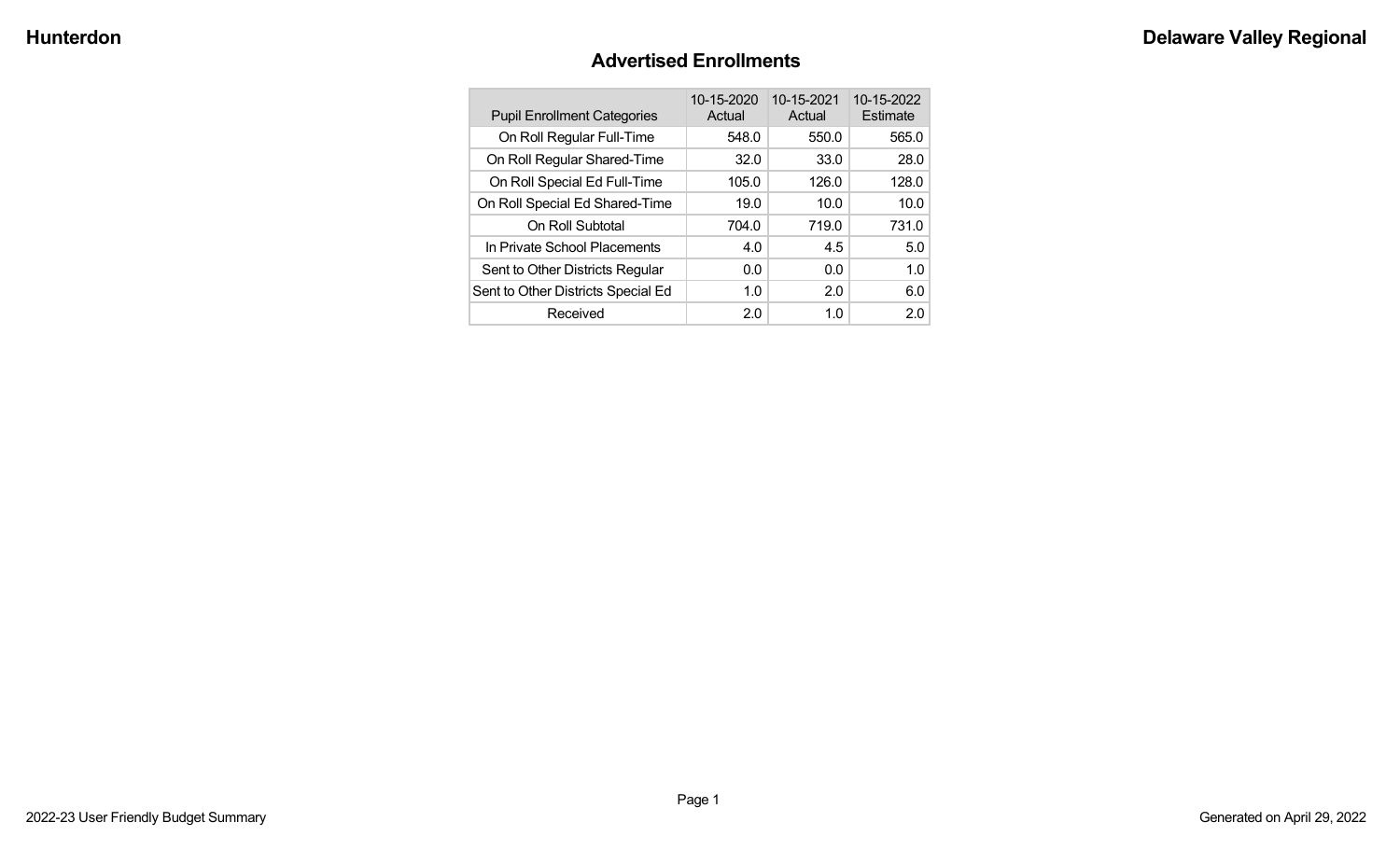#### **Advertised Enrollments**

| <b>Pupil Enrollment Categories</b> | 10-15-2020<br>Actual | 10-15-2021<br>Actual | 10-15-2022<br>Estimate |
|------------------------------------|----------------------|----------------------|------------------------|
| On Roll Regular Full-Time          | 548.0                | 550.0                | 565.0                  |
| On Roll Regular Shared-Time        | 32.0                 | 33.0                 | 28.0                   |
| On Roll Special Ed Full-Time       | 105.0                | 126.0                | 128.0                  |
| On Roll Special Ed Shared-Time     | 19.0                 | 10.0                 | 10.0                   |
| On Roll Subtotal                   | 704.0                | 719.0                | 731.0                  |
| In Private School Placements       | 4.0                  | 4.5                  | 5.0                    |
| Sent to Other Districts Regular    | 0.0                  | 0.0                  | 1.0                    |
| Sent to Other Districts Special Ed | 1.0                  | 2.0                  | 6.0                    |
| Received                           | 2.0                  | 1.0                  | 2.0                    |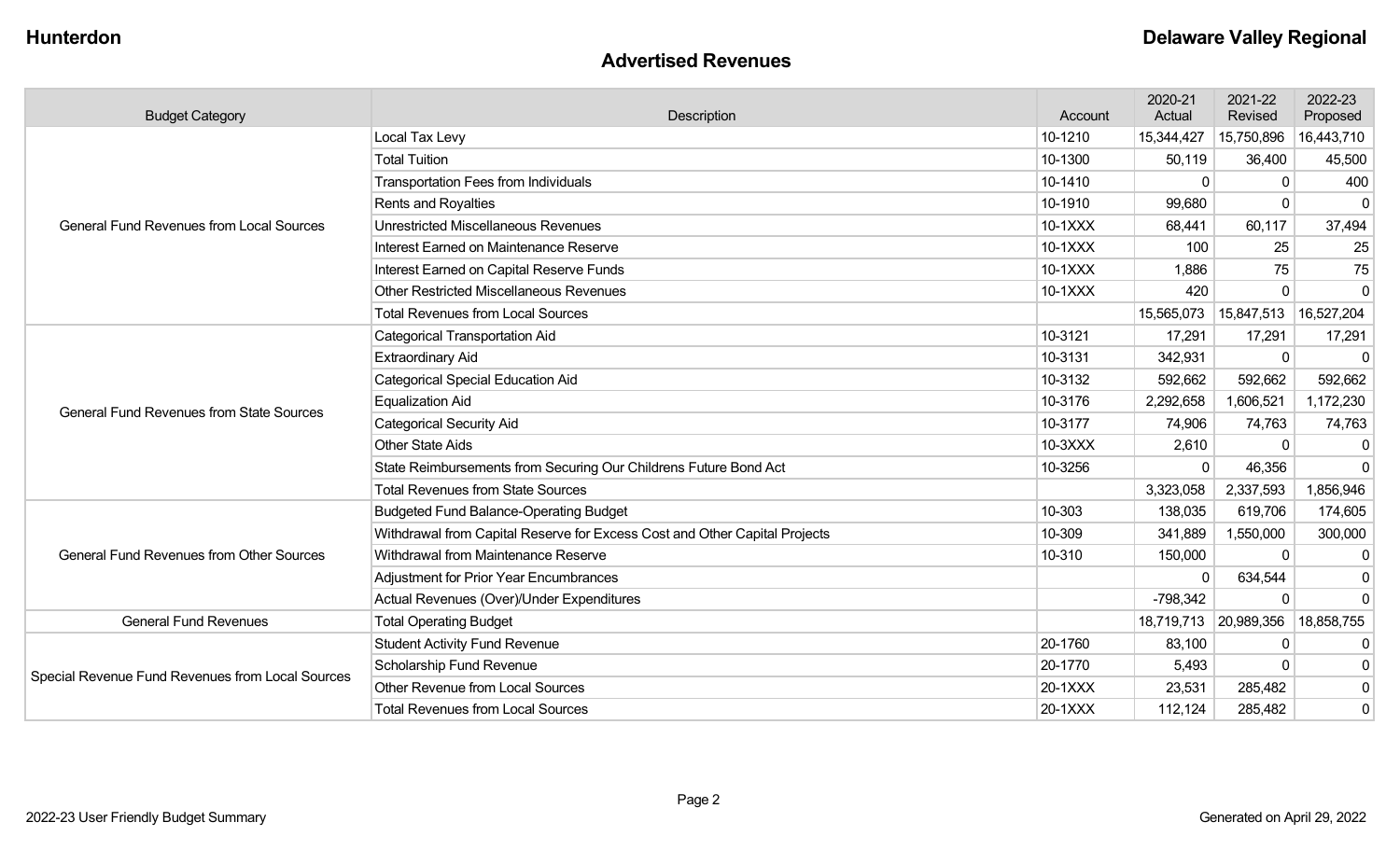#### **Advertised Revenues**

| <b>Budget Category</b>                           | Description                                                                | Account | 2020-21<br>Actual     | 2021-22<br>Revised | 2022-23<br>Proposed |
|--------------------------------------------------|----------------------------------------------------------------------------|---------|-----------------------|--------------------|---------------------|
|                                                  | Local Tax Levy                                                             | 10-1210 | 15,344,427            | 15,750,896         | 16,443,710          |
|                                                  | <b>Total Tuition</b>                                                       | 10-1300 | 50,119                | 36,400             | 45,500              |
|                                                  | <b>Transportation Fees from Individuals</b>                                | 10-1410 | $\Omega$              | $\Omega$           | 400                 |
|                                                  | Rents and Royalties                                                        | 10-1910 | 99,680                | $\Omega$           | $\overline{0}$      |
| <b>General Fund Revenues from Local Sources</b>  | <b>Unrestricted Miscellaneous Revenues</b>                                 | 10-1XXX | 68,441                | 60,117             | 37,494              |
|                                                  | Interest Earned on Maintenance Reserve                                     | 10-1XXX | 100                   | 25                 | 25                  |
|                                                  | Interest Earned on Capital Reserve Funds                                   | 10-1XXX | 1,886                 | 75                 | 75                  |
|                                                  | <b>Other Restricted Miscellaneous Revenues</b>                             | 10-1XXX | 420                   |                    | $\Omega$            |
|                                                  | <b>Total Revenues from Local Sources</b>                                   |         | 15,565,073            | 15,847,513         | 16,527,204          |
|                                                  | <b>Categorical Transportation Aid</b>                                      | 10-3121 | 17,291                | 17,291             | 17,291              |
|                                                  | <b>Extraordinary Aid</b>                                                   | 10-3131 | 342,931               | $\mathbf 0$        | $\Omega$            |
|                                                  | <b>Categorical Special Education Aid</b>                                   | 10-3132 | 592,662               | 592,662            | 592,662             |
| <b>General Fund Revenues from State Sources</b>  | <b>Equalization Aid</b>                                                    | 10-3176 | 2,292,658             | 1,606,521          | 1,172,230           |
|                                                  | <b>Categorical Security Aid</b>                                            | 10-3177 | 74,906                | 74,763             | 74,763              |
|                                                  | <b>Other State Aids</b>                                                    | 10-3XXX | 2,610                 | $\Omega$           | -0                  |
|                                                  | State Reimbursements from Securing Our Childrens Future Bond Act           | 10-3256 | $\Omega$              | 46,356             | $\Omega$            |
|                                                  | <b>Total Revenues from State Sources</b>                                   |         | 3,323,058             | 2,337,593          | 1,856,946           |
|                                                  | <b>Budgeted Fund Balance-Operating Budget</b>                              | 10-303  | 138,035               | 619,706            | 174,605             |
|                                                  | Withdrawal from Capital Reserve for Excess Cost and Other Capital Projects | 10-309  | 341,889               | 1,550,000          | 300,000             |
| <b>General Fund Revenues from Other Sources</b>  | Withdrawal from Maintenance Reserve                                        | 10-310  | 150,000               | $\Omega$           | -0                  |
|                                                  | Adjustment for Prior Year Encumbrances                                     |         |                       | 634,544            | 0                   |
|                                                  | Actual Revenues (Over)/Under Expenditures                                  |         | $-798,342$            | $\Omega$           | $\Omega$            |
| <b>General Fund Revenues</b>                     | <b>Total Operating Budget</b>                                              |         | 18,719,713 20,989,356 |                    | 18,858,755          |
|                                                  | <b>Student Activity Fund Revenue</b>                                       | 20-1760 | 83,100                | $\Omega$           | 0                   |
|                                                  | Scholarship Fund Revenue                                                   | 20-1770 | 5,493                 | $\Omega$           | 0                   |
| Special Revenue Fund Revenues from Local Sources | Other Revenue from Local Sources                                           | 20-1XXX | 23,531                | 285,482            | 0                   |
|                                                  | <b>Total Revenues from Local Sources</b>                                   | 20-1XXX | 112,124               | 285,482            | 0                   |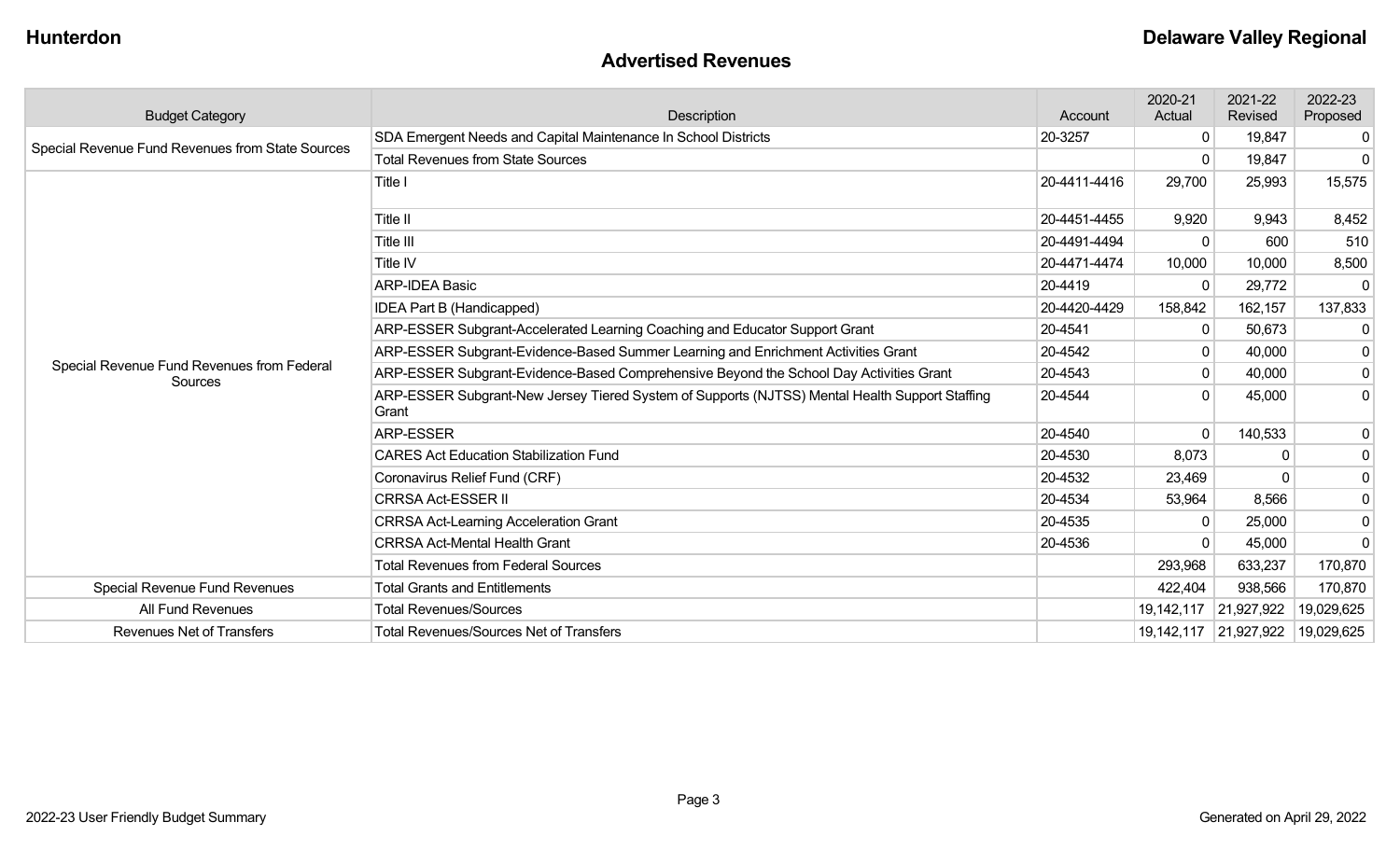#### **Advertised Revenues**

| <b>Budget Category</b>                                | Description                                                                                             | Account      | 2020-21<br>Actual | 2021-22<br>Revised    | 2022-23<br>Proposed |
|-------------------------------------------------------|---------------------------------------------------------------------------------------------------------|--------------|-------------------|-----------------------|---------------------|
|                                                       | SDA Emergent Needs and Capital Maintenance In School Districts                                          | 20-3257      | 0                 | 19,847                | 0                   |
| Special Revenue Fund Revenues from State Sources      | <b>Total Revenues from State Sources</b>                                                                |              | $\Omega$          | 19,847                | $\Omega$            |
|                                                       | Title I                                                                                                 | 20-4411-4416 | 29,700            | 25,993                | 15,575              |
|                                                       | Title II                                                                                                | 20-4451-4455 | 9,920             | 9,943                 | 8,452               |
|                                                       | Title III                                                                                               | 20-4491-4494 | $\Omega$          | 600                   | 510                 |
|                                                       | Title IV                                                                                                | 20-4471-4474 | 10,000            | 10,000                | 8,500               |
|                                                       | <b>ARP-IDEA Basic</b>                                                                                   | 20-4419      | $\Omega$          | 29,772                | -0                  |
|                                                       | <b>IDEA Part B (Handicapped)</b>                                                                        | 20-4420-4429 | 158,842           | 162,157               | 137,833             |
|                                                       | ARP-ESSER Subgrant-Accelerated Learning Coaching and Educator Support Grant                             | 20-4541      | 0                 | 50,673                | 0                   |
|                                                       | ARP-ESSER Subgrant-Evidence-Based Summer Learning and Enrichment Activities Grant                       | 20-4542      | 0                 | 40,000                | 0                   |
| Special Revenue Fund Revenues from Federal<br>Sources | ARP-ESSER Subgrant-Evidence-Based Comprehensive Beyond the School Day Activities Grant                  | 20-4543      | 0                 | 40,000                | $\mathbf 0$         |
|                                                       | ARP-ESSER Subgrant-New Jersey Tiered System of Supports (NJTSS) Mental Health Support Staffing<br>Grant | 20-4544      | $\Omega$          | 45,000                | 0                   |
|                                                       | ARP-ESSER                                                                                               | 20-4540      | 0                 | 140,533               | $\mathbf 0$         |
|                                                       | <b>CARES Act Education Stabilization Fund</b>                                                           | 20-4530      | 8,073             |                       | $\mathbf 0$         |
|                                                       | Coronavirus Relief Fund (CRF)                                                                           | 20-4532      | 23,469            |                       | $\mathbf 0$         |
|                                                       | <b>CRRSA Act-ESSER II</b>                                                                               | 20-4534      | 53,964            | 8,566                 | $\mathbf 0$         |
|                                                       | <b>CRRSA Act-Learning Acceleration Grant</b>                                                            | 20-4535      | $\mathbf{0}$      | 25,000                | $\mathbf 0$         |
|                                                       | <b>CRRSA Act-Mental Health Grant</b>                                                                    | 20-4536      | ∩                 | 45,000                | $\Omega$            |
|                                                       | <b>Total Revenues from Federal Sources</b>                                                              |              | 293,968           | 633,237               | 170,870             |
| Special Revenue Fund Revenues                         | <b>Total Grants and Entitlements</b>                                                                    |              | 422,404           | 938,566               | 170,870             |
| All Fund Revenues                                     | <b>Total Revenues/Sources</b>                                                                           |              |                   | 19,142,117 21,927,922 | 19,029,625          |
| <b>Revenues Net of Transfers</b>                      | <b>Total Revenues/Sources Net of Transfers</b>                                                          |              |                   | 19,142,117 21,927,922 | 19,029,625          |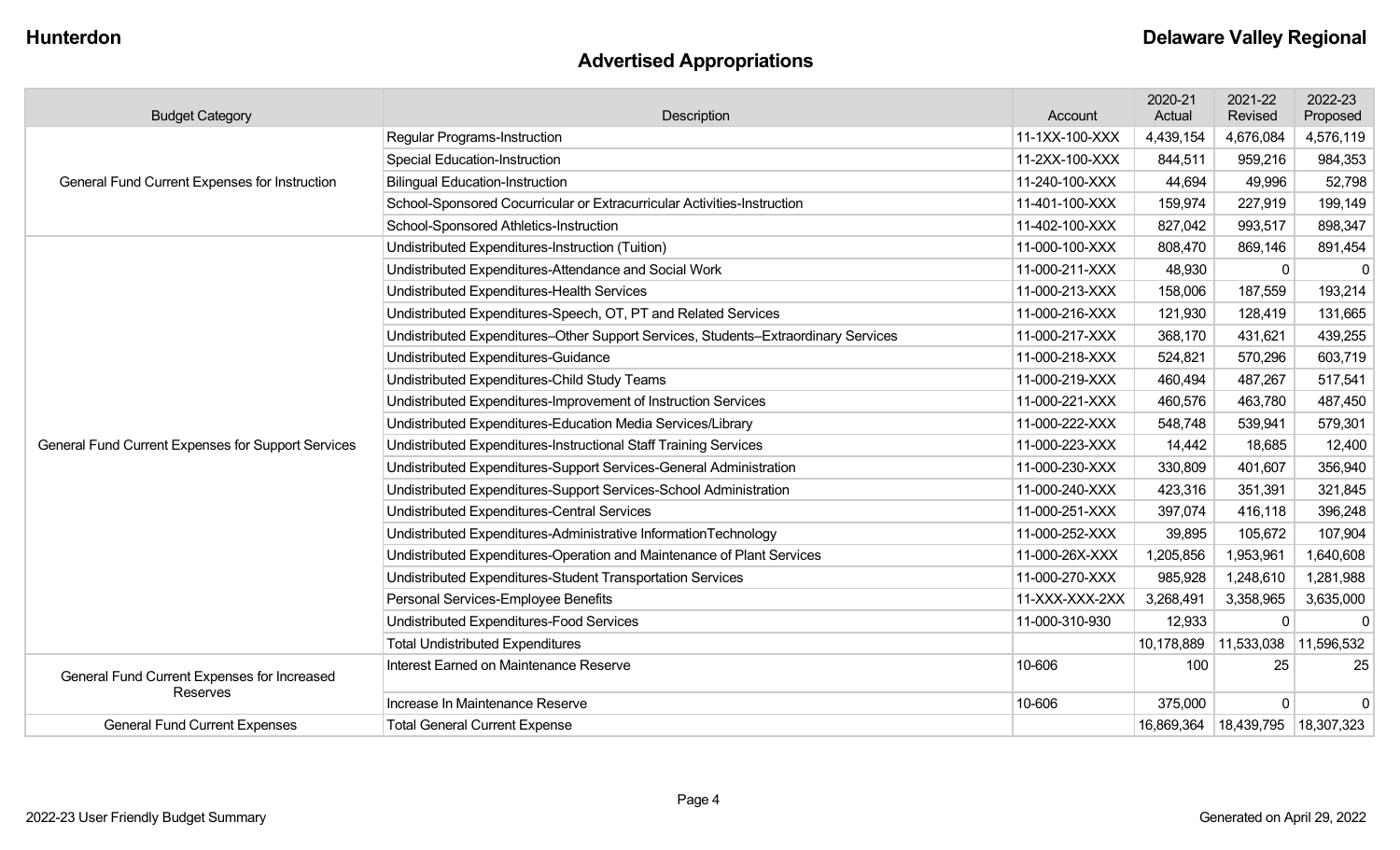# **Advertised Appropriations**

| <b>Budget Category</b>                             | Description                                                                        |                | 2020-21<br>Actual     | 2021-22<br>Revised                   | 2022-23<br>Proposed |
|----------------------------------------------------|------------------------------------------------------------------------------------|----------------|-----------------------|--------------------------------------|---------------------|
|                                                    | <b>Regular Programs-Instruction</b>                                                | 11-1XX-100-XXX | 4,439,154             | 4,676,084                            | 4,576,119           |
|                                                    | <b>Special Education-Instruction</b>                                               | 11-2XX-100-XXX | 844,511               | 959,216                              | 984,353             |
| General Fund Current Expenses for Instruction      | <b>Bilingual Education-Instruction</b>                                             | 11-240-100-XXX | 44,694                | 49,996                               | 52,798              |
|                                                    | School-Sponsored Cocurricular or Extracurricular Activities-Instruction            | 11-401-100-XXX | 159,974               | 227,919                              | 199,149             |
|                                                    | School-Sponsored Athletics-Instruction                                             | 11-402-100-XXX | 827,042               | 993,517                              | 898,347             |
|                                                    | Undistributed Expenditures-Instruction (Tuition)                                   | 11-000-100-XXX | 808,470               | 869,146                              | 891,454             |
|                                                    | Undistributed Expenditures-Attendance and Social Work                              | 11-000-211-XXX | 48,930                |                                      | $\Omega$            |
|                                                    | Undistributed Expenditures-Health Services                                         | 11-000-213-XXX | 158,006               | 187,559                              | 193,214             |
|                                                    | Undistributed Expenditures-Speech, OT, PT and Related Services                     | 11-000-216-XXX | 121,930               | 128,419                              | 131,665             |
|                                                    | Undistributed Expenditures-Other Support Services, Students-Extraordinary Services | 11-000-217-XXX | 368,170               | 431,621                              | 439,255             |
|                                                    | Undistributed Expenditures-Guidance                                                | 11-000-218-XXX | 524,821               | 570,296                              | 603,719             |
|                                                    | Undistributed Expenditures-Child Study Teams                                       | 11-000-219-XXX | 460,494               | 487,267                              | 517,541             |
|                                                    | Undistributed Expenditures-Improvement of Instruction Services                     | 11-000-221-XXX | 460,576               | 463,780                              | 487,450             |
|                                                    | Undistributed Expenditures-Education Media Services/Library                        | 11-000-222-XXX | 548,748               | 539,941                              | 579,301             |
| General Fund Current Expenses for Support Services | Undistributed Expenditures-Instructional Staff Training Services                   | 11-000-223-XXX | 14,442                | 18,685                               | 12,400              |
|                                                    | Undistributed Expenditures-Support Services-General Administration                 | 11-000-230-XXX | 330,809               | 401,607                              | 356,940             |
|                                                    | Undistributed Expenditures-Support Services-School Administration                  | 11-000-240-XXX | 423,316               | 351,391                              | 321,845             |
|                                                    | Undistributed Expenditures-Central Services                                        | 11-000-251-XXX | 397,074               | 416,118                              | 396,248             |
|                                                    | Undistributed Expenditures-Administrative InformationTechnology                    | 11-000-252-XXX | 39,895                | 105,672                              | 107,904             |
|                                                    | Undistributed Expenditures-Operation and Maintenance of Plant Services             | 11-000-26X-XXX | 1,205,856             | 1,953,961                            | 1,640,608           |
|                                                    | Undistributed Expenditures-Student Transportation Services                         | 11-000-270-XXX | 985,928               | 1,248,610                            | 1,281,988           |
|                                                    | Personal Services-Employee Benefits                                                | 11-XXX-XXX-2XX | 3,268,491             | 3,358,965                            | 3,635,000           |
|                                                    | <b>Undistributed Expenditures-Food Services</b>                                    | 11-000-310-930 | 12,933                | $\Omega$                             | 0                   |
|                                                    | <b>Total Undistributed Expenditures</b>                                            |                | 10,178,889 11,533,038 |                                      | 11,596,532          |
| General Fund Current Expenses for Increased        | Interest Earned on Maintenance Reserve                                             | 10-606         | 100                   | 25                                   | 25                  |
| Reserves                                           | Increase In Maintenance Reserve                                                    | 10-606         | 375,000               | $\Omega$                             | $\Omega$            |
| <b>General Fund Current Expenses</b>               | <b>Total General Current Expense</b>                                               |                |                       | 16,869,364   18,439,795   18,307,323 |                     |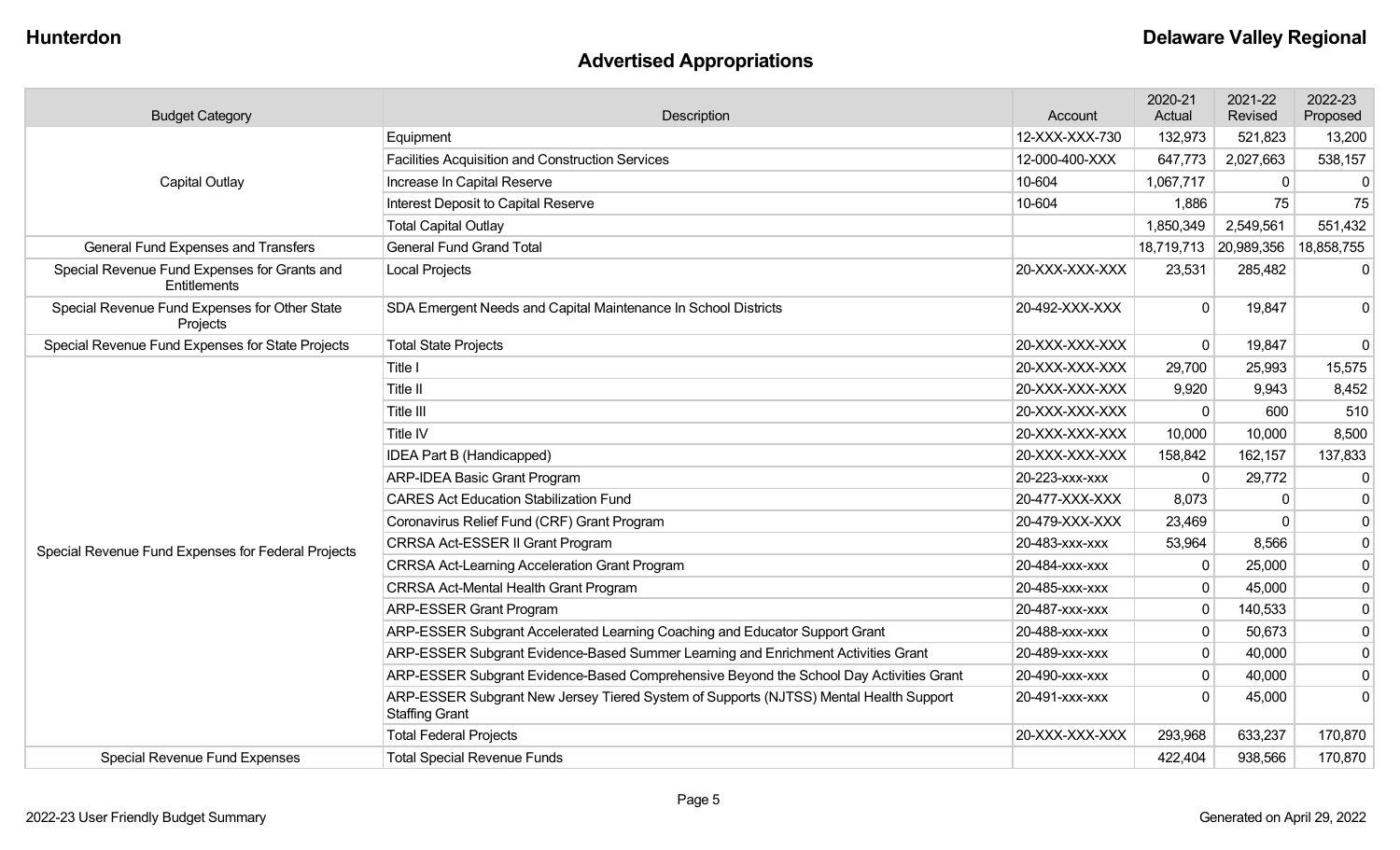# **Advertised Appropriations**

| <b>Budget Category</b>                                       | Description                                                                                                    | Account        | 2020-21<br>Actual | 2021-22<br>Revised    | 2022-23<br>Proposed |
|--------------------------------------------------------------|----------------------------------------------------------------------------------------------------------------|----------------|-------------------|-----------------------|---------------------|
|                                                              | Equipment                                                                                                      | 12-XXX-XXX-730 | 132,973           | 521,823               | 13,200              |
| <b>Capital Outlay</b>                                        | <b>Facilities Acquisition and Construction Services</b>                                                        | 12-000-400-XXX | 647,773           | 2,027,663             | 538,157             |
|                                                              | Increase In Capital Reserve                                                                                    | 10-604         | 1,067,717         | $\mathbf 0$           | 0                   |
|                                                              | Interest Deposit to Capital Reserve                                                                            | 10-604         | 1,886             | 75                    | 75                  |
|                                                              | <b>Total Capital Outlay</b>                                                                                    |                | 1,850,349         | 2,549,561             | 551,432             |
| General Fund Expenses and Transfers                          | <b>General Fund Grand Total</b>                                                                                |                |                   | 18,719,713 20,989,356 | 18,858,755          |
| Special Revenue Fund Expenses for Grants and<br>Entitlements | <b>Local Projects</b>                                                                                          | 20-XXX-XXX-XXX | 23,531            | 285,482               | $\mathbf{0}$        |
| Special Revenue Fund Expenses for Other State<br>Projects    | SDA Emergent Needs and Capital Maintenance In School Districts                                                 | 20-492-XXX-XXX | $\mathbf{0}$      | 19,847                | $\Omega$            |
| Special Revenue Fund Expenses for State Projects             | <b>Total State Projects</b>                                                                                    | 20-XXX-XXX-XXX | $\mathbf 0$       | 19,847                | 0                   |
|                                                              | Title I                                                                                                        | 20-XXX-XXX-XXX | 29,700            | 25,993                | 15,575              |
|                                                              | Title II                                                                                                       | 20-XXX-XXX-XXX | 9,920             | 9,943                 | 8,452               |
|                                                              | Title III                                                                                                      | 20-XXX-XXX-XXX | $\Omega$          | 600                   | 510                 |
|                                                              | Title IV                                                                                                       | 20-XXX-XXX-XXX | 10,000            | 10,000                | 8,500               |
|                                                              | <b>IDEA Part B (Handicapped)</b>                                                                               | 20-XXX-XXX-XXX | 158,842           | 162,157               | 137,833             |
|                                                              | <b>ARP-IDEA Basic Grant Program</b>                                                                            | 20-223-xxx-xxx | $\mathbf{0}$      | 29,772                | 0                   |
|                                                              | <b>CARES Act Education Stabilization Fund</b>                                                                  | 20-477-XXX-XXX | 8,073             |                       | 0                   |
|                                                              | Coronavirus Relief Fund (CRF) Grant Program                                                                    | 20-479-XXX-XXX | 23,469            | $\Omega$              | $\mathbf 0$         |
| Special Revenue Fund Expenses for Federal Projects           | CRRSA Act-ESSER II Grant Program                                                                               | 20-483-xxx-xxx | 53,964            | 8,566                 | $\mathbf 0$         |
|                                                              | <b>CRRSA Act-Learning Acceleration Grant Program</b>                                                           | 20-484-xxx-xxx | $\mathbf 0$       | 25,000                | $\mathbf 0$         |
|                                                              | <b>CRRSA Act-Mental Health Grant Program</b>                                                                   | 20-485-xxx-xxx | $\mathbf 0$       | 45,000                | 0                   |
|                                                              | <b>ARP-ESSER Grant Program</b>                                                                                 | 20-487-xxx-xxx | $\mathbf 0$       | 140,533               | $\mathbf 0$         |
|                                                              | ARP-ESSER Subgrant Accelerated Learning Coaching and Educator Support Grant                                    | 20-488-XXX-XXX | $\mathbf 0$       | 50,673                | $\mathbf 0$         |
|                                                              | ARP-ESSER Subgrant Evidence-Based Summer Learning and Enrichment Activities Grant                              | 20-489-xxx-xxx | $\mathbf 0$       | 40,000                | $\mathbf 0$         |
|                                                              | ARP-ESSER Subgrant Evidence-Based Comprehensive Beyond the School Day Activities Grant                         | 20-490-xxx-xxx | $\mathbf 0$       | 40,000                | $\mathbf 0$         |
|                                                              | ARP-ESSER Subgrant New Jersey Tiered System of Supports (NJTSS) Mental Health Support<br><b>Staffing Grant</b> | 20-491-XXX-XXX | $\Omega$          | 45,000                | $\Omega$            |
|                                                              | <b>Total Federal Projects</b>                                                                                  | 20-XXX-XXX-XXX | 293,968           | 633,237               | 170,870             |
| <b>Special Revenue Fund Expenses</b>                         | <b>Total Special Revenue Funds</b>                                                                             |                | 422,404           | 938,566               | 170,870             |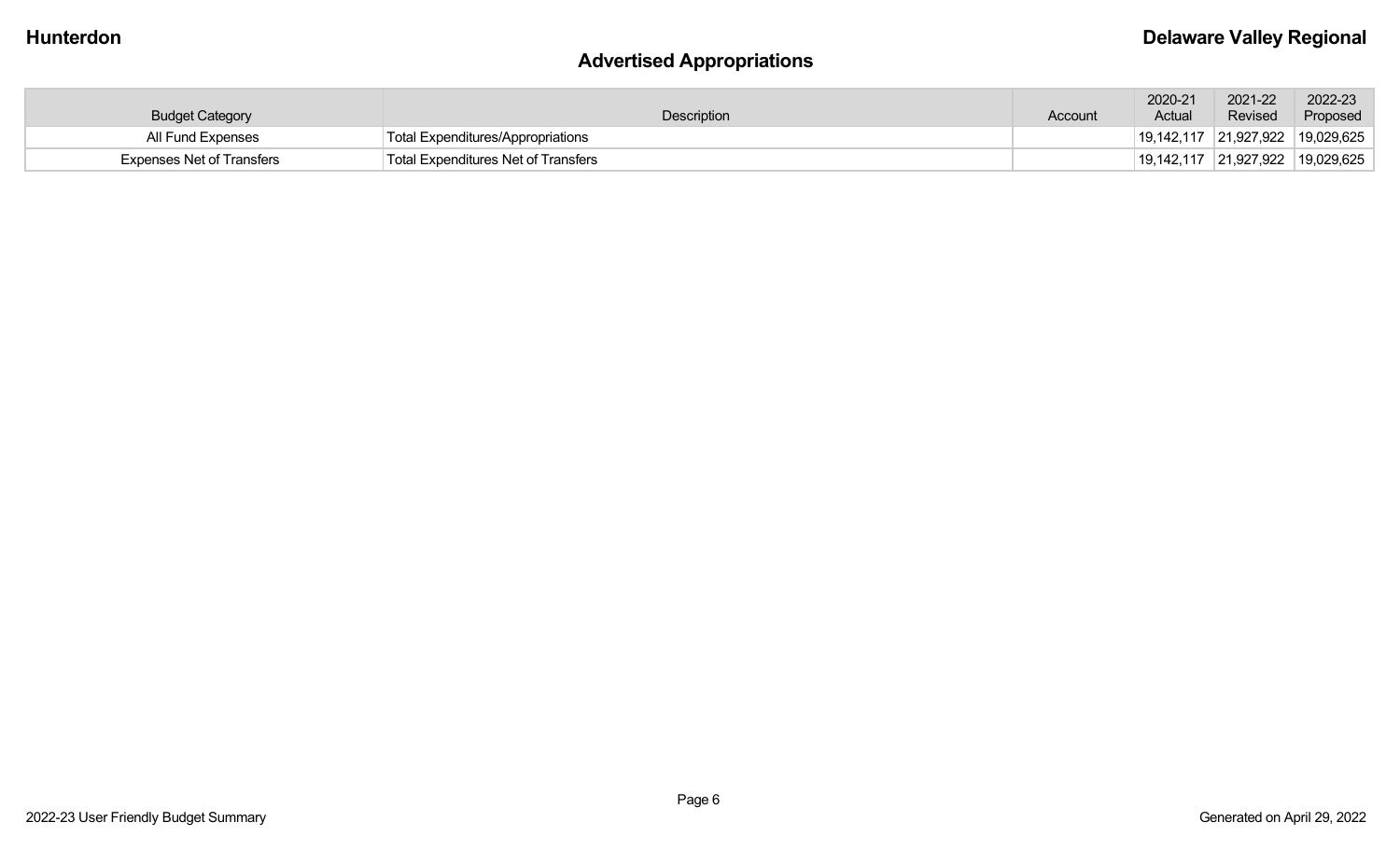# **Advertised Appropriations**

| <b>Budget Category</b>           | Description                                | Account | 2020-21<br>Actual | 2021-22<br>Revised                 | 2022-23<br>Proposed |
|----------------------------------|--------------------------------------------|---------|-------------------|------------------------------------|---------------------|
| All Fund Expenses                | Total Expenditures/Appropriations          |         |                   | $19,142,117$ 21,927,922 19,029,625 |                     |
| <b>Expenses Net of Transfers</b> | <b>Total Expenditures Net of Transfers</b> |         |                   | $19,142,117$ 21,927,922 19,029,625 |                     |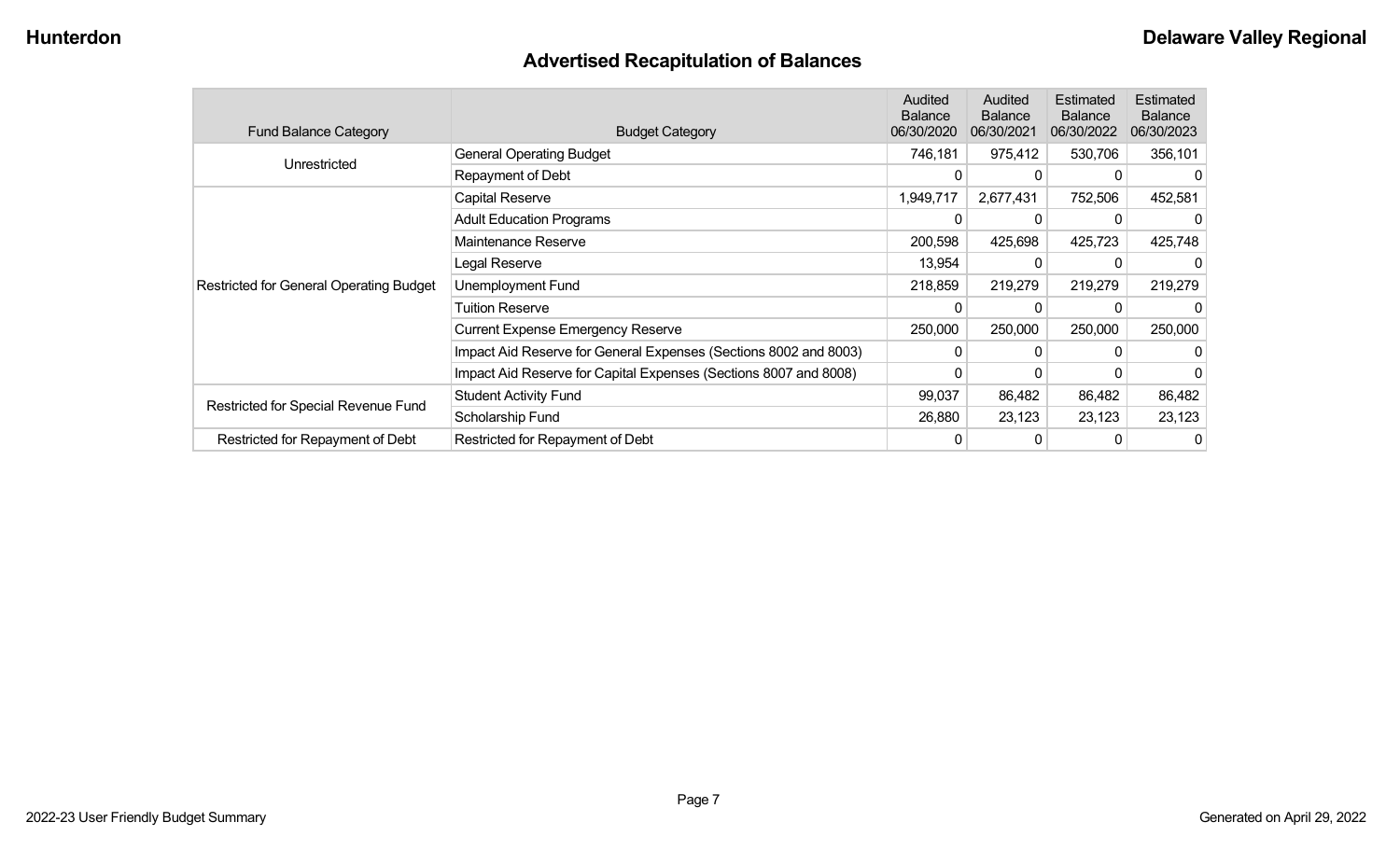# **Advertised Recapitulation of Balances**

| <b>Fund Balance Category</b>                   | <b>Budget Category</b>                                           | <b>Audited</b><br><b>Balance</b><br>06/30/2020 | Audited<br><b>Balance</b><br>06/30/2021 | Estimated<br><b>Balance</b><br>06/30/2022 | Estimated<br><b>Balance</b><br>06/30/2023 |
|------------------------------------------------|------------------------------------------------------------------|------------------------------------------------|-----------------------------------------|-------------------------------------------|-------------------------------------------|
| Unrestricted                                   | <b>General Operating Budget</b>                                  | 746,181                                        | 975,412                                 | 530,706                                   | 356,101                                   |
|                                                | Repayment of Debt                                                | 0                                              | 0                                       |                                           |                                           |
|                                                | Capital Reserve                                                  | 1,949,717                                      | 2,677,431                               | 752,506                                   | 452,581                                   |
|                                                | <b>Adult Education Programs</b>                                  | 0                                              | 0                                       |                                           |                                           |
|                                                | Maintenance Reserve                                              | 200,598                                        | 425,698                                 | 425,723                                   | 425,748                                   |
|                                                | Legal Reserve                                                    | 13,954                                         | 0                                       | 0                                         |                                           |
| <b>Restricted for General Operating Budget</b> | Unemployment Fund                                                | 218,859                                        | 219,279                                 | 219,279                                   | 219,279                                   |
|                                                | Tuition Reserve                                                  | 0                                              | 0                                       |                                           |                                           |
|                                                | <b>Current Expense Emergency Reserve</b>                         | 250,000                                        | 250,000                                 | 250,000                                   | 250,000                                   |
|                                                | Impact Aid Reserve for General Expenses (Sections 8002 and 8003) | $\Omega$                                       | 0                                       |                                           |                                           |
|                                                | Impact Aid Reserve for Capital Expenses (Sections 8007 and 8008) | 0                                              | 0                                       |                                           |                                           |
|                                                | <b>Student Activity Fund</b>                                     | 99,037                                         | 86,482                                  | 86,482                                    | 86,482                                    |
| Restricted for Special Revenue Fund            | Scholarship Fund                                                 | 26,880                                         | 23,123                                  | 23,123                                    | 23,123                                    |
| Restricted for Repayment of Debt               | Restricted for Repayment of Debt                                 | 0                                              | 0                                       |                                           | 0                                         |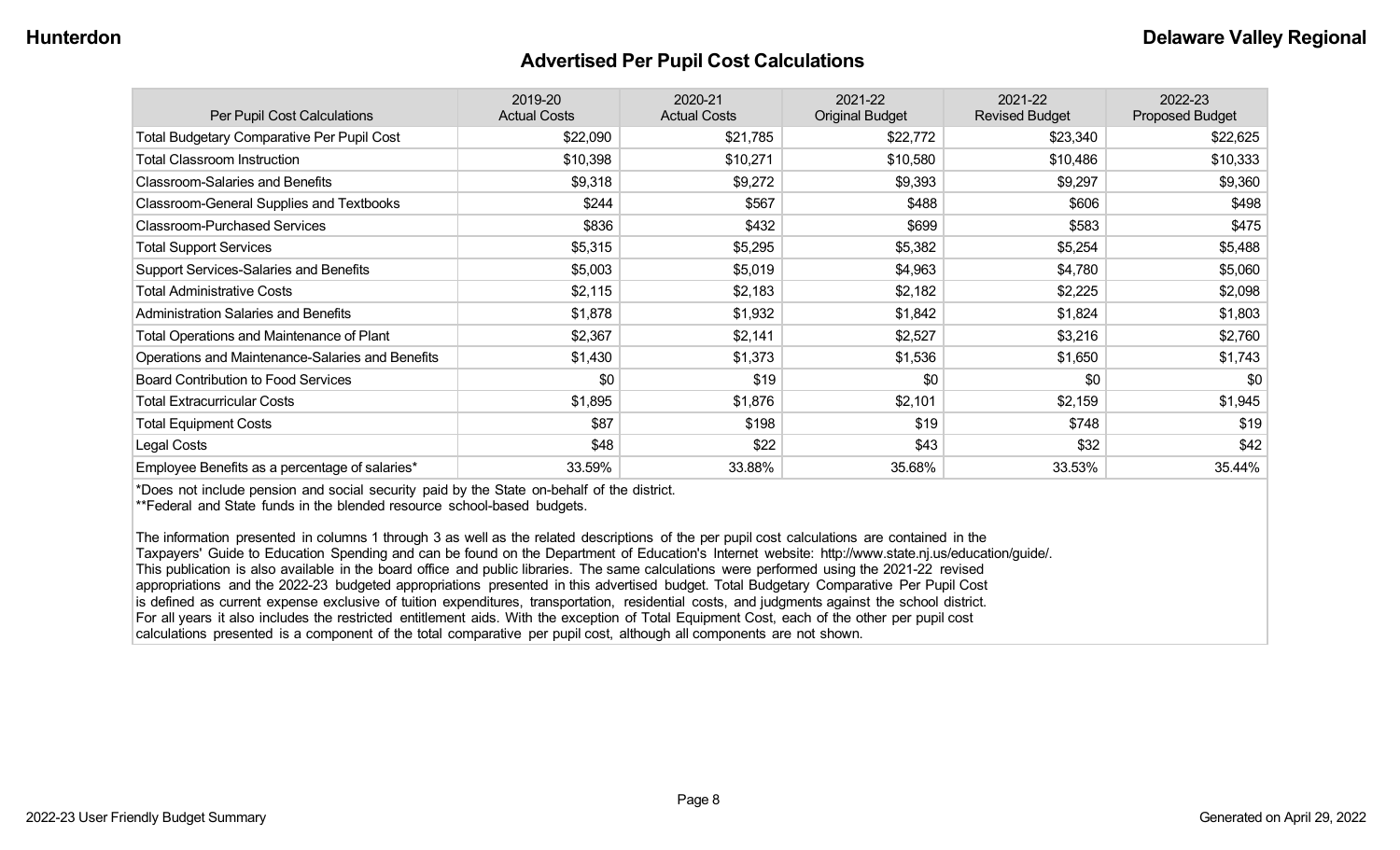#### **Advertised Per Pupil Cost Calculations**

| Per Pupil Cost Calculations                       | 2019-20<br><b>Actual Costs</b> | 2020-21<br><b>Actual Costs</b> | 2021-22<br><b>Original Budget</b> | 2021-22<br><b>Revised Budget</b> | 2022-23<br><b>Proposed Budget</b> |
|---------------------------------------------------|--------------------------------|--------------------------------|-----------------------------------|----------------------------------|-----------------------------------|
| <b>Total Budgetary Comparative Per Pupil Cost</b> | \$22,090                       | \$21,785                       | \$22,772                          | \$23,340                         | \$22,625                          |
| <b>Total Classroom Instruction</b>                | \$10,398                       | \$10,271                       | \$10,580                          | \$10,486                         | \$10,333                          |
| <b>Classroom-Salaries and Benefits</b>            | \$9,318                        | \$9,272                        | \$9,393                           | \$9,297                          | \$9,360                           |
| Classroom-General Supplies and Textbooks          | \$244                          | \$567                          | \$488                             | \$606                            | \$498                             |
| <b>Classroom-Purchased Services</b>               | \$836                          | \$432                          | \$699                             | \$583                            | \$475                             |
| <b>Total Support Services</b>                     | \$5,315                        | \$5,295                        | \$5,382                           | \$5,254                          | \$5,488                           |
| Support Services-Salaries and Benefits            | \$5,003                        | \$5,019                        | \$4,963                           | \$4,780                          | \$5,060                           |
| <b>Total Administrative Costs</b>                 | \$2,115                        | \$2,183                        | \$2,182                           | \$2,225                          | \$2,098                           |
| <b>Administration Salaries and Benefits</b>       | \$1,878                        | \$1,932                        | \$1,842                           | \$1,824                          | \$1,803                           |
| Total Operations and Maintenance of Plant         | \$2,367                        | \$2,141                        | \$2,527                           | \$3,216                          | \$2,760                           |
| Operations and Maintenance-Salaries and Benefits  | \$1,430                        | \$1,373                        | \$1,536                           | \$1,650                          | \$1,743                           |
| <b>Board Contribution to Food Services</b>        | \$0                            | \$19                           | \$0                               | \$0                              | \$0                               |
| <b>Total Extracurricular Costs</b>                | \$1,895                        | \$1,876                        | \$2,101                           | \$2,159                          | \$1,945                           |
| <b>Total Equipment Costs</b>                      | \$87                           | \$198                          | \$19                              | \$748                            | \$19                              |
| Legal Costs                                       | \$48                           | \$22                           | \$43                              | \$32                             | \$42                              |
| Employee Benefits as a percentage of salaries*    | 33.59%                         | 33.88%                         | 35.68%                            | 33.53%                           | 35.44%                            |

\*Does not include pension and social security paid by the State on-behalf of the district.

\*\*Federal and State funds in the blended resource school-based budgets.

The information presented in columns 1 through 3 as well as the related descriptions of the per pupil cost calculations are contained in the Taxpayers' Guide to Education Spending and can be found on the Department of Education's Internet website: http://www.state.nj.us/education/guide/. This publication is also available in the board office and public libraries. The same calculations were performed using the 2021-22 revised appropriations and the 2022-23 budgeted appropriations presented in this advertised budget. Total Budgetary Comparative Per Pupil Cost is defined as current expense exclusive of tuition expenditures, transportation, residential costs, and judgments against the school district. For all years it also includes the restricted entitlement aids. With the exception of Total Equipment Cost, each of the other per pupil cost calculations presented is a component of the total comparative per pupil cost, although all components are not shown.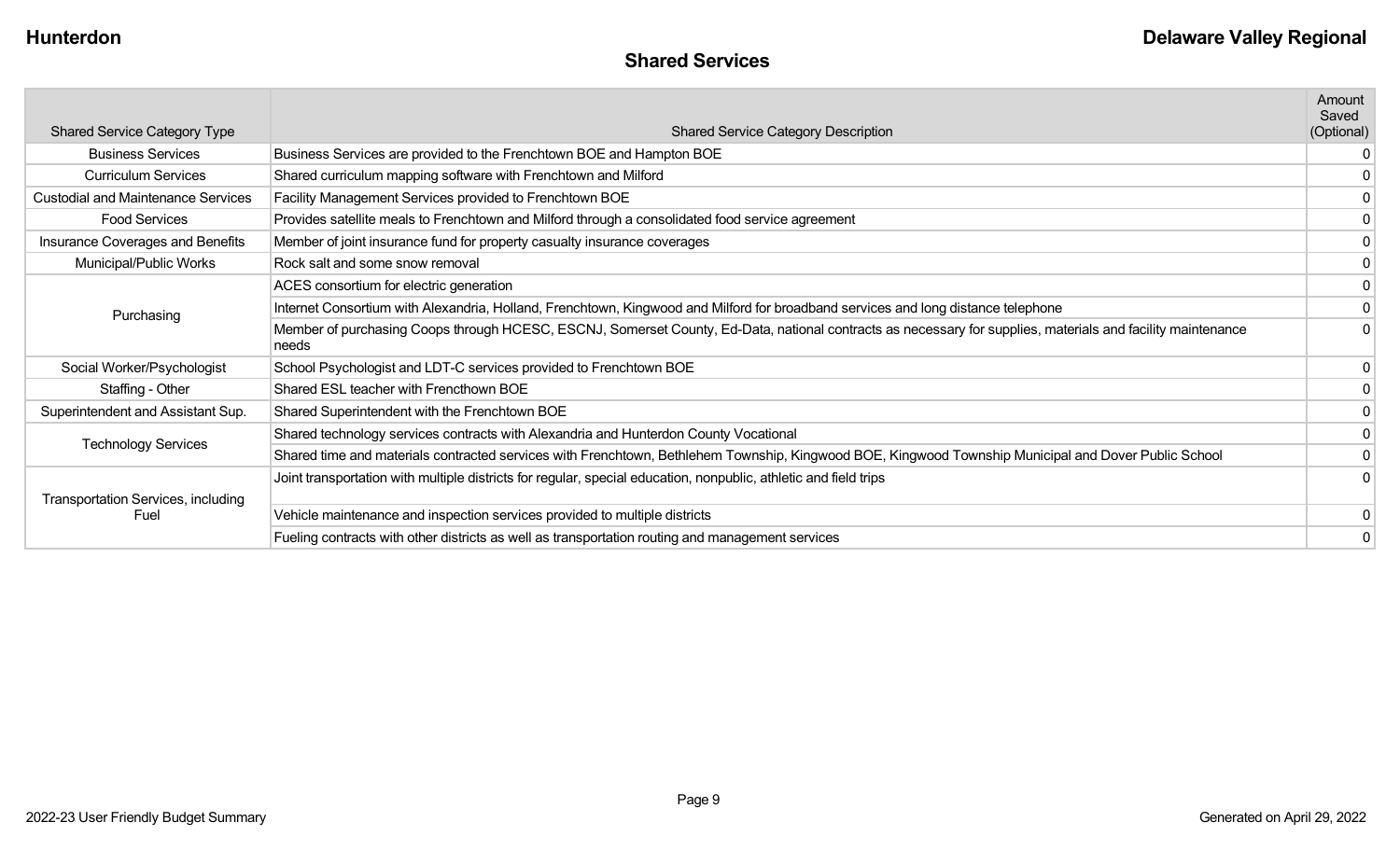|                                           |                                                                                                                                                                      | Amount<br>Saved |
|-------------------------------------------|----------------------------------------------------------------------------------------------------------------------------------------------------------------------|-----------------|
| <b>Shared Service Category Type</b>       | <b>Shared Service Category Description</b>                                                                                                                           | (Optional)      |
| <b>Business Services</b>                  | Business Services are provided to the Frenchtown BOE and Hampton BOE                                                                                                 |                 |
| <b>Curriculum Services</b>                | Shared curriculum mapping software with Frenchtown and Milford                                                                                                       |                 |
| <b>Custodial and Maintenance Services</b> | Facility Management Services provided to Frenchtown BOE                                                                                                              |                 |
| <b>Food Services</b>                      | Provides satellite meals to Frenchtown and Milford through a consolidated food service agreement                                                                     |                 |
| Insurance Coverages and Benefits          | Member of joint insurance fund for property casualty insurance coverages                                                                                             |                 |
| Municipal/Public Works                    | Rock salt and some snow removal                                                                                                                                      |                 |
|                                           | ACES consortium for electric generation                                                                                                                              |                 |
| Purchasing                                | Internet Consortium with Alexandria, Holland, Frenchtown, Kingwood and Milford for broadband services and long distance telephone                                    |                 |
|                                           | Member of purchasing Coops through HCESC, ESCNJ, Somerset County, Ed-Data, national contracts as necessary for supplies, materials and facility maintenance<br>needs |                 |
| Social Worker/Psychologist                | School Psychologist and LDT-C services provided to Frenchtown BOE                                                                                                    |                 |
| Staffing - Other                          | Shared ESL teacher with Frencthown BOE                                                                                                                               |                 |
| Superintendent and Assistant Sup.         | Shared Superintendent with the Frenchtown BOE                                                                                                                        |                 |
| <b>Technology Services</b>                | Shared technology services contracts with Alexandria and Hunterdon County Vocational                                                                                 |                 |
|                                           | Shared time and materials contracted services with Frenchtown, Bethlehem Township, Kingwood BOE, Kingwood Township Municipal and Dover Public School                 |                 |
| <b>Transportation Services, including</b> | Joint transportation with multiple districts for regular, special education, nonpublic, athletic and field trips                                                     |                 |
| Fuel                                      | Vehicle maintenance and inspection services provided to multiple districts                                                                                           |                 |
|                                           | Fueling contracts with other districts as well as transportation routing and management services                                                                     | 0               |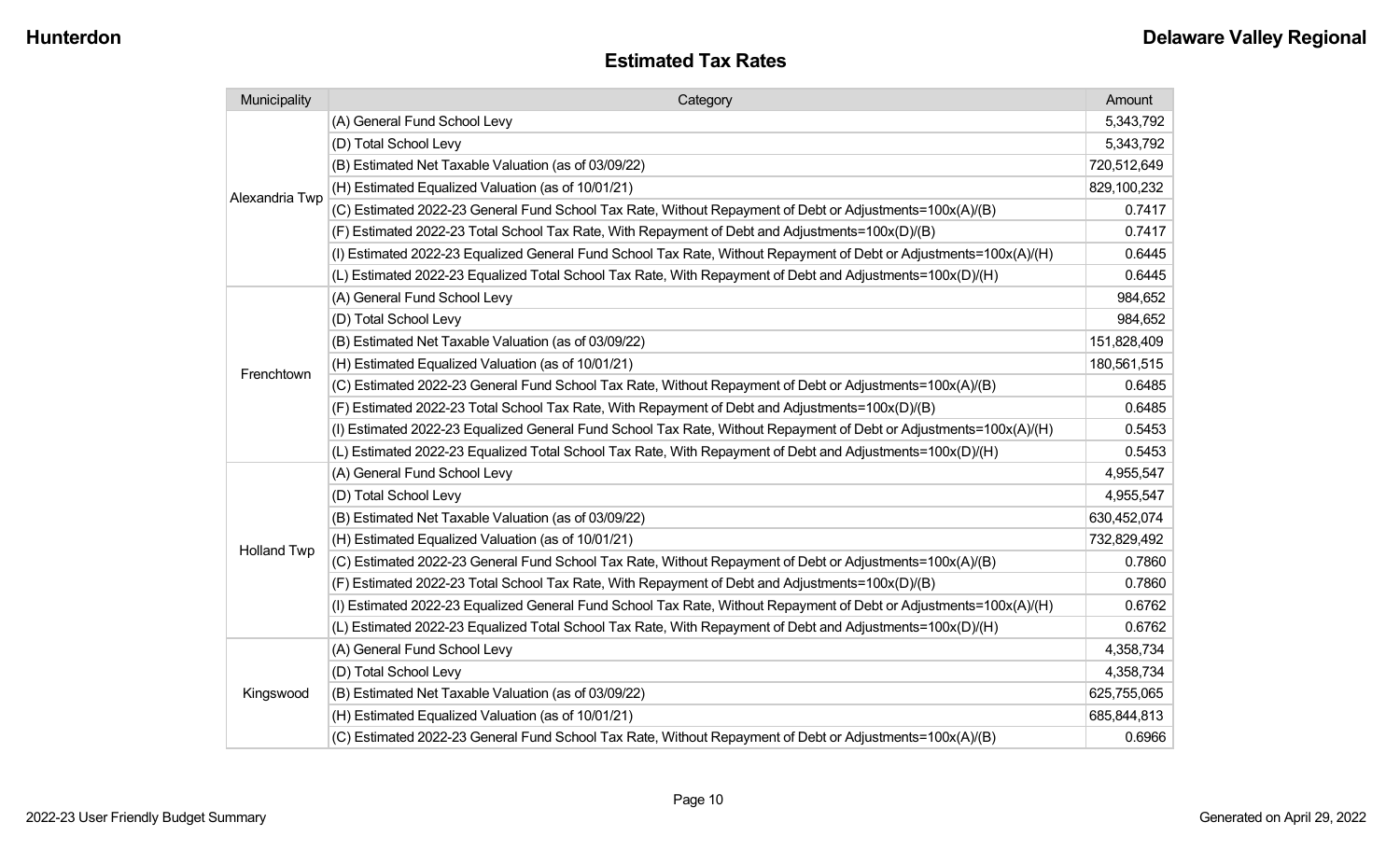| Municipality       | Category                                                                                                           | Amount      |
|--------------------|--------------------------------------------------------------------------------------------------------------------|-------------|
|                    | (A) General Fund School Levy                                                                                       | 5,343,792   |
| Alexandria Twp     | (D) Total School Levy                                                                                              | 5,343,792   |
|                    | (B) Estimated Net Taxable Valuation (as of 03/09/22)                                                               | 720,512,649 |
|                    | (H) Estimated Equalized Valuation (as of 10/01/21)                                                                 | 829,100,232 |
|                    | (C) Estimated 2022-23 General Fund School Tax Rate, Without Repayment of Debt or Adjustments=100x(A)/(B)           | 0.7417      |
|                    | (F) Estimated 2022-23 Total School Tax Rate, With Repayment of Debt and Adjustments=100x(D)/(B)                    | 0.7417      |
|                    | (I) Estimated 2022-23 Equalized General Fund School Tax Rate, Without Repayment of Debt or Adjustments=100x(A)/(H) | 0.6445      |
|                    | (L) Estimated 2022-23 Equalized Total School Tax Rate, With Repayment of Debt and Adjustments=100x(D)/(H)          | 0.6445      |
|                    | (A) General Fund School Levy                                                                                       | 984,652     |
|                    | (D) Total School Levy                                                                                              | 984,652     |
|                    | (B) Estimated Net Taxable Valuation (as of 03/09/22)                                                               | 151,828,409 |
|                    | (H) Estimated Equalized Valuation (as of 10/01/21)                                                                 | 180,561,515 |
| Frenchtown         | (C) Estimated 2022-23 General Fund School Tax Rate, Without Repayment of Debt or Adjustments=100x(A)/(B)           | 0.6485      |
|                    | (F) Estimated 2022-23 Total School Tax Rate, With Repayment of Debt and Adjustments=100x(D)/(B)                    | 0.6485      |
|                    | (I) Estimated 2022-23 Equalized General Fund School Tax Rate, Without Repayment of Debt or Adjustments=100x(A)/(H) | 0.5453      |
|                    | (L) Estimated 2022-23 Equalized Total School Tax Rate, With Repayment of Debt and Adjustments=100x(D)/(H)          | 0.5453      |
|                    | (A) General Fund School Levy                                                                                       | 4,955,547   |
|                    | (D) Total School Levy                                                                                              | 4,955,547   |
|                    | (B) Estimated Net Taxable Valuation (as of 03/09/22)                                                               | 630,452,074 |
| <b>Holland Twp</b> | (H) Estimated Equalized Valuation (as of 10/01/21)                                                                 | 732,829,492 |
|                    | (C) Estimated 2022-23 General Fund School Tax Rate, Without Repayment of Debt or Adjustments=100x(A)/(B)           | 0.7860      |
|                    | (F) Estimated 2022-23 Total School Tax Rate, With Repayment of Debt and Adjustments=100x(D)/(B)                    | 0.7860      |
|                    | (I) Estimated 2022-23 Equalized General Fund School Tax Rate, Without Repayment of Debt or Adjustments=100x(A)/(H) | 0.6762      |
|                    | (L) Estimated 2022-23 Equalized Total School Tax Rate, With Repayment of Debt and Adjustments=100x(D)/(H)          | 0.6762      |
|                    | (A) General Fund School Levy                                                                                       | 4,358,734   |
|                    | (D) Total School Levy                                                                                              | 4,358,734   |
| Kingswood          | (B) Estimated Net Taxable Valuation (as of 03/09/22)                                                               | 625,755,065 |
|                    | (H) Estimated Equalized Valuation (as of 10/01/21)                                                                 | 685,844,813 |
|                    | (C) Estimated 2022-23 General Fund School Tax Rate, Without Repayment of Debt or Adjustments=100x(A)/(B)           | 0.6966      |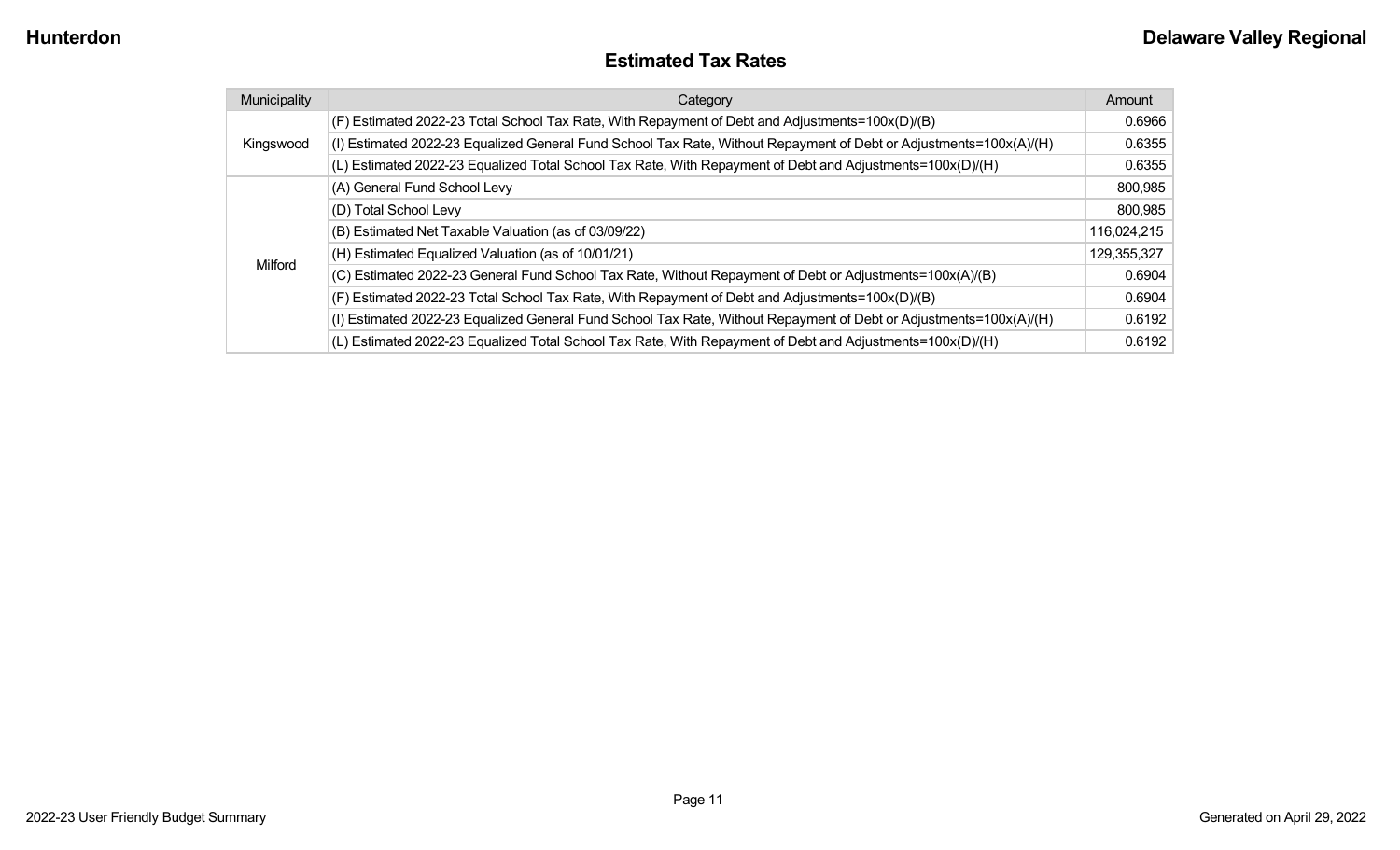#### **Estimated Tax Rates**

| Municipality | Category                                                                                                           | Amount      |
|--------------|--------------------------------------------------------------------------------------------------------------------|-------------|
|              | (F) Estimated 2022-23 Total School Tax Rate, With Repayment of Debt and Adjustments=100x(D)/(B)                    | 0.6966      |
| Kingswood    | (I) Estimated 2022-23 Equalized General Fund School Tax Rate, Without Repayment of Debt or Adjustments=100x(A)/(H) | 0.6355      |
|              | (L) Estimated 2022-23 Equalized Total School Tax Rate, With Repayment of Debt and Adjustments=100x(D)/(H)          | 0.6355      |
|              | (A) General Fund School Levy                                                                                       | 800,985     |
|              | (D) Total School Levy                                                                                              | 800,985     |
|              | (B) Estimated Net Taxable Valuation (as of 03/09/22)                                                               | 116,024,215 |
|              | (H) Estimated Equalized Valuation (as of 10/01/21)                                                                 | 129,355,327 |
| Milford      | (C) Estimated 2022-23 General Fund School Tax Rate, Without Repayment of Debt or Adjustments=100x(A)/(B)           | 0.6904      |
|              | (F) Estimated 2022-23 Total School Tax Rate, With Repayment of Debt and Adjustments=100x(D)/(B)                    | 0.6904      |
|              | (I) Estimated 2022-23 Equalized General Fund School Tax Rate, Without Repayment of Debt or Adjustments=100x(A)/(H) | 0.6192      |
|              | (L) Estimated 2022-23 Equalized Total School Tax Rate, With Repayment of Debt and Adjustments=100x(D)/(H)          | 0.6192      |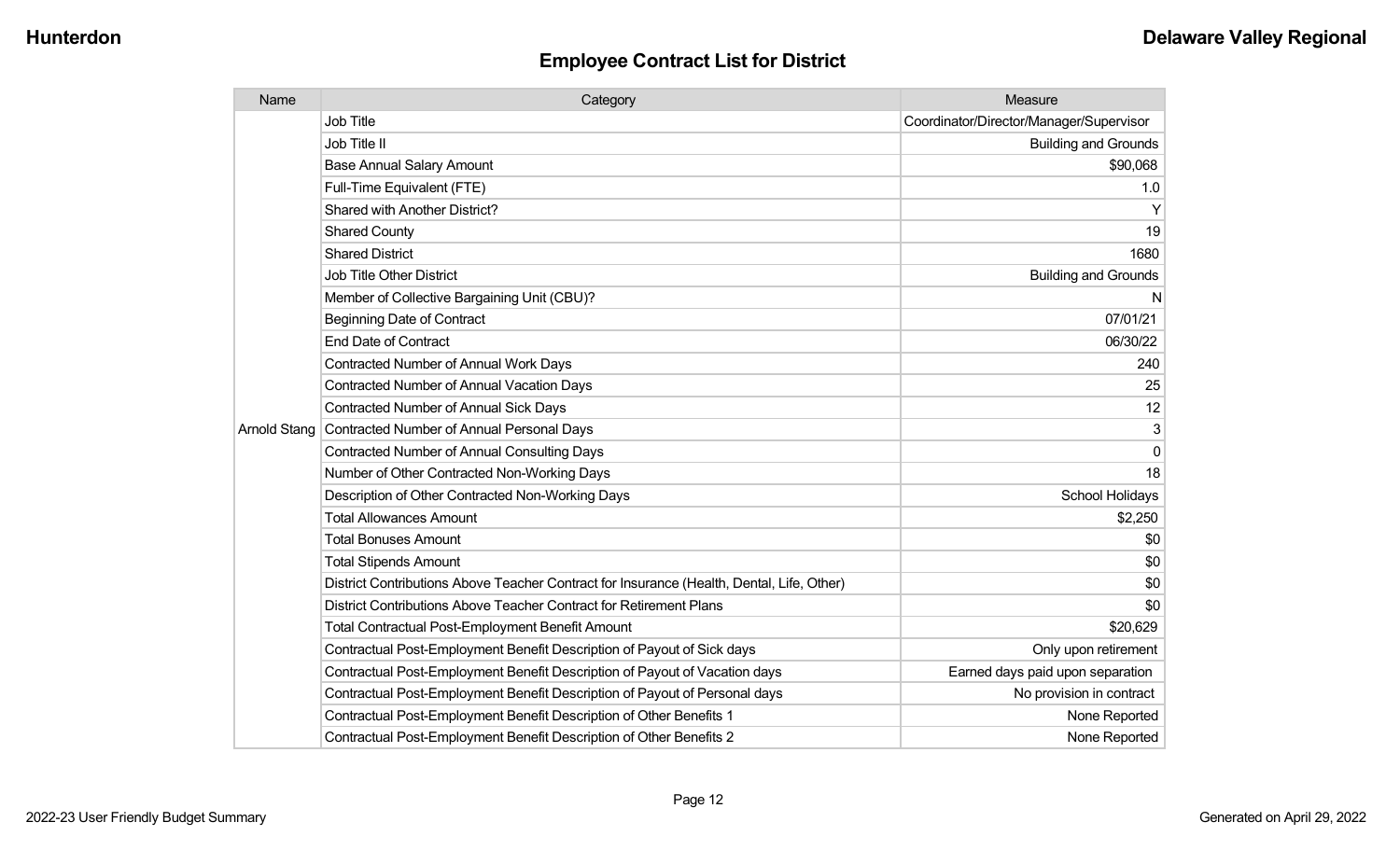#### **Employee Contract List for District District**

| Name                | Category                                                                                  | Measure                                 |
|---------------------|-------------------------------------------------------------------------------------------|-----------------------------------------|
|                     | Job Title                                                                                 | Coordinator/Director/Manager/Supervisor |
|                     | Job Title II                                                                              | <b>Building and Grounds</b>             |
|                     | <b>Base Annual Salary Amount</b>                                                          | \$90,068                                |
|                     | Full-Time Equivalent (FTE)                                                                | 1.0                                     |
|                     | <b>Shared with Another District?</b>                                                      | Y                                       |
|                     | <b>Shared County</b>                                                                      | 19                                      |
|                     | <b>Shared District</b>                                                                    | 1680                                    |
|                     | <b>Job Title Other District</b>                                                           | <b>Building and Grounds</b>             |
|                     | Member of Collective Bargaining Unit (CBU)?                                               | N                                       |
|                     | <b>Beginning Date of Contract</b>                                                         | 07/01/21                                |
|                     | <b>End Date of Contract</b>                                                               | 06/30/22                                |
|                     | <b>Contracted Number of Annual Work Days</b>                                              | 240                                     |
|                     | <b>Contracted Number of Annual Vacation Days</b>                                          | 25                                      |
|                     | <b>Contracted Number of Annual Sick Days</b>                                              | 12                                      |
| <b>Arnold Stang</b> | Contracted Number of Annual Personal Days                                                 | 3                                       |
|                     | <b>Contracted Number of Annual Consulting Days</b>                                        | 0                                       |
|                     | Number of Other Contracted Non-Working Days                                               | 18                                      |
|                     | Description of Other Contracted Non-Working Days                                          | School Holidays                         |
|                     | <b>Total Allowances Amount</b>                                                            | \$2,250                                 |
|                     | <b>Total Bonuses Amount</b>                                                               | \$0                                     |
|                     | <b>Total Stipends Amount</b>                                                              | \$0                                     |
|                     | District Contributions Above Teacher Contract for Insurance (Health, Dental, Life, Other) | \$0                                     |
|                     | District Contributions Above Teacher Contract for Retirement Plans                        | \$0                                     |
|                     | Total Contractual Post-Employment Benefit Amount                                          | \$20,629                                |
|                     | Contractual Post-Employment Benefit Description of Payout of Sick days                    | Only upon retirement                    |
|                     | Contractual Post-Employment Benefit Description of Payout of Vacation days                | Earned days paid upon separation        |
|                     | Contractual Post-Employment Benefit Description of Payout of Personal days                | No provision in contract                |
|                     | Contractual Post-Employment Benefit Description of Other Benefits 1                       | None Reported                           |
|                     | Contractual Post-Employment Benefit Description of Other Benefits 2                       | None Reported                           |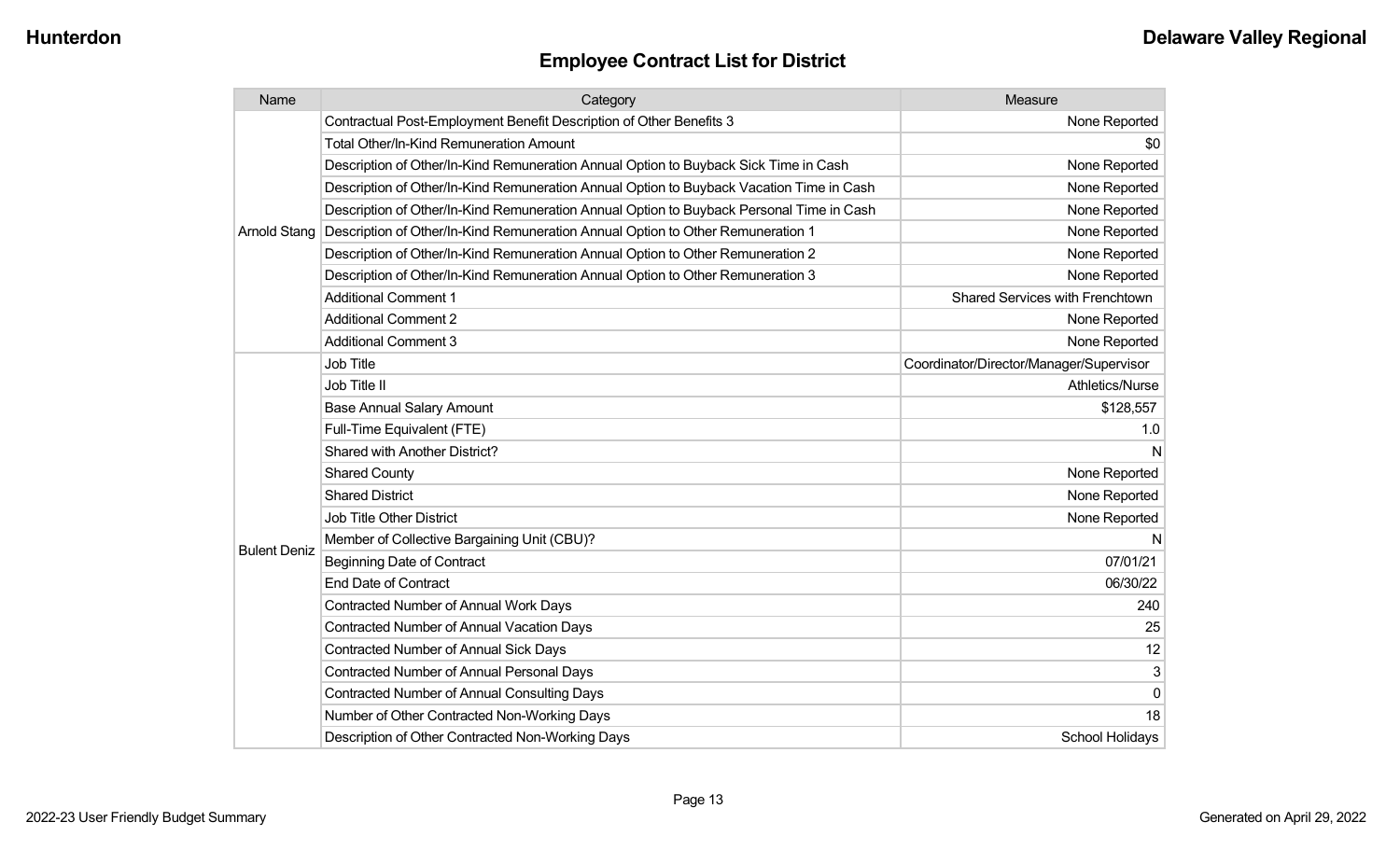| Name                | Category                                                                                 | Measure                                 |
|---------------------|------------------------------------------------------------------------------------------|-----------------------------------------|
|                     | Contractual Post-Employment Benefit Description of Other Benefits 3                      | None Reported                           |
|                     | <b>Total Other/In-Kind Remuneration Amount</b>                                           | \$0                                     |
|                     | Description of Other/In-Kind Remuneration Annual Option to Buyback Sick Time in Cash     | None Reported                           |
|                     | Description of Other/In-Kind Remuneration Annual Option to Buyback Vacation Time in Cash | None Reported                           |
|                     | Description of Other/In-Kind Remuneration Annual Option to Buyback Personal Time in Cash | None Reported                           |
| <b>Arnold Stang</b> | Description of Other/In-Kind Remuneration Annual Option to Other Remuneration 1          | None Reported                           |
|                     | Description of Other/In-Kind Remuneration Annual Option to Other Remuneration 2          | None Reported                           |
|                     | Description of Other/In-Kind Remuneration Annual Option to Other Remuneration 3          | None Reported                           |
|                     | <b>Additional Comment 1</b>                                                              | Shared Services with Frenchtown         |
|                     | <b>Additional Comment 2</b>                                                              | None Reported                           |
|                     | <b>Additional Comment 3</b>                                                              | None Reported                           |
|                     | <b>Job Title</b>                                                                         | Coordinator/Director/Manager/Supervisor |
|                     | Job Title II                                                                             | Athletics/Nurse                         |
|                     | <b>Base Annual Salary Amount</b>                                                         | \$128,557                               |
|                     | Full-Time Equivalent (FTE)                                                               | 1.0                                     |
|                     | Shared with Another District?                                                            | N                                       |
|                     | <b>Shared County</b>                                                                     | None Reported                           |
|                     | <b>Shared District</b>                                                                   | None Reported                           |
|                     | Job Title Other District                                                                 | None Reported                           |
|                     | Member of Collective Bargaining Unit (CBU)?                                              | N                                       |
| <b>Bulent Deniz</b> | <b>Beginning Date of Contract</b>                                                        | 07/01/21                                |
|                     | <b>End Date of Contract</b>                                                              | 06/30/22                                |
|                     | <b>Contracted Number of Annual Work Days</b>                                             | 240                                     |
|                     | <b>Contracted Number of Annual Vacation Days</b>                                         | 25                                      |
|                     | <b>Contracted Number of Annual Sick Days</b>                                             | 12                                      |
|                     | Contracted Number of Annual Personal Days                                                | 3                                       |
|                     | <b>Contracted Number of Annual Consulting Days</b>                                       | 0                                       |
|                     | Number of Other Contracted Non-Working Days                                              | 18                                      |
|                     | Description of Other Contracted Non-Working Days                                         | School Holidays                         |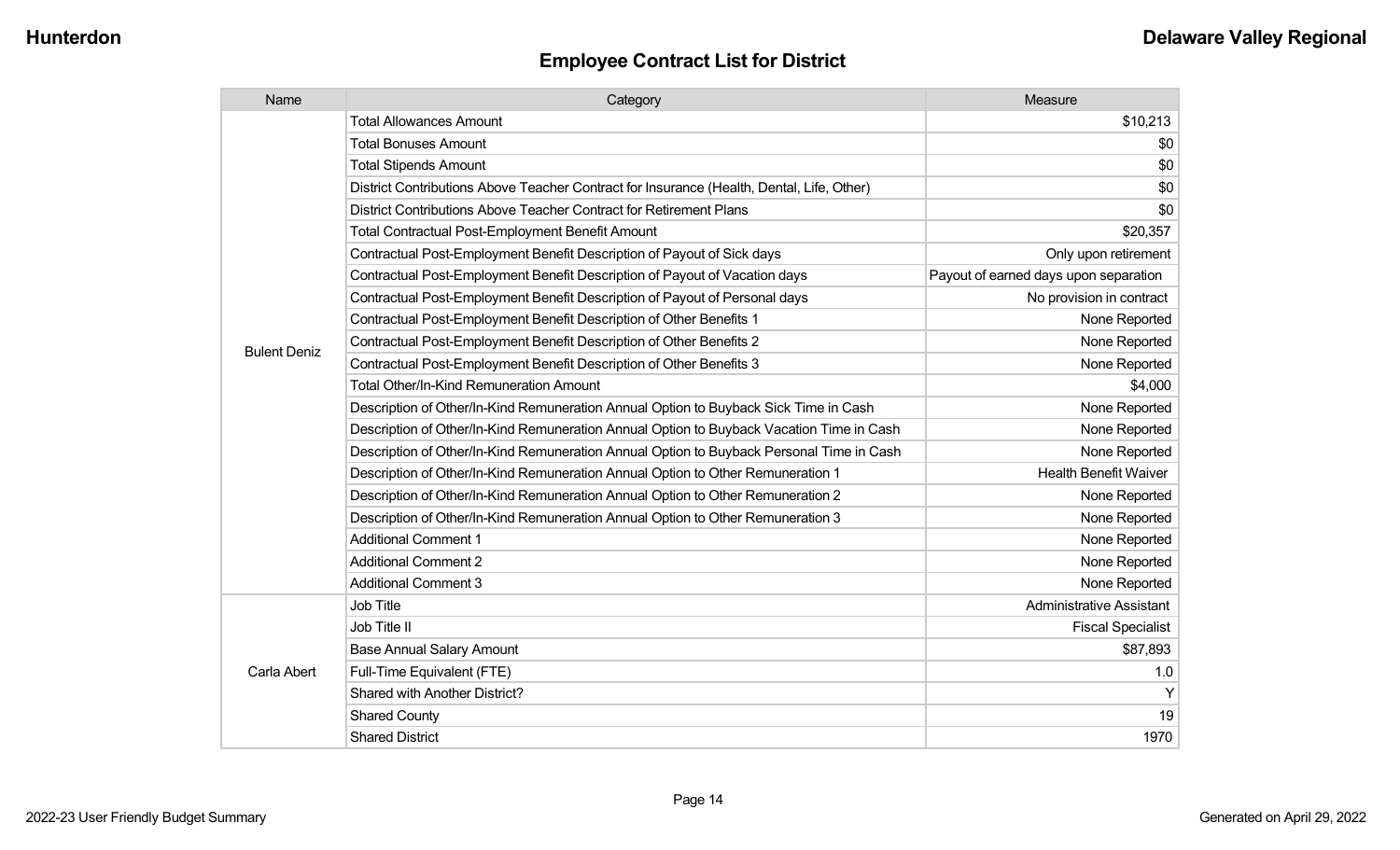| Name                | Category                                                                                  | Measure                               |
|---------------------|-------------------------------------------------------------------------------------------|---------------------------------------|
|                     | <b>Total Allowances Amount</b>                                                            | \$10,213                              |
|                     | <b>Total Bonuses Amount</b>                                                               | \$0                                   |
|                     | <b>Total Stipends Amount</b>                                                              | \$0                                   |
|                     | District Contributions Above Teacher Contract for Insurance (Health, Dental, Life, Other) | \$0                                   |
|                     | District Contributions Above Teacher Contract for Retirement Plans                        | \$0                                   |
|                     | Total Contractual Post-Employment Benefit Amount                                          | \$20,357                              |
|                     | Contractual Post-Employment Benefit Description of Payout of Sick days                    | Only upon retirement                  |
|                     | Contractual Post-Employment Benefit Description of Payout of Vacation days                | Payout of earned days upon separation |
|                     | Contractual Post-Employment Benefit Description of Payout of Personal days                | No provision in contract              |
|                     | Contractual Post-Employment Benefit Description of Other Benefits 1                       | None Reported                         |
| <b>Bulent Deniz</b> | Contractual Post-Employment Benefit Description of Other Benefits 2                       | None Reported                         |
|                     | Contractual Post-Employment Benefit Description of Other Benefits 3                       | None Reported                         |
|                     | Total Other/In-Kind Remuneration Amount                                                   | \$4,000                               |
|                     | Description of Other/In-Kind Remuneration Annual Option to Buyback Sick Time in Cash      | None Reported                         |
|                     | Description of Other/In-Kind Remuneration Annual Option to Buyback Vacation Time in Cash  | None Reported                         |
|                     | Description of Other/In-Kind Remuneration Annual Option to Buyback Personal Time in Cash  | None Reported                         |
|                     | Description of Other/In-Kind Remuneration Annual Option to Other Remuneration 1           | <b>Health Benefit Waiver</b>          |
|                     | Description of Other/In-Kind Remuneration Annual Option to Other Remuneration 2           | None Reported                         |
|                     | Description of Other/In-Kind Remuneration Annual Option to Other Remuneration 3           | None Reported                         |
|                     | <b>Additional Comment 1</b>                                                               | None Reported                         |
|                     | <b>Additional Comment 2</b>                                                               | None Reported                         |
|                     | <b>Additional Comment 3</b>                                                               | None Reported                         |
|                     | Job Title                                                                                 | <b>Administrative Assistant</b>       |
|                     | Job Title II                                                                              | <b>Fiscal Specialist</b>              |
|                     | <b>Base Annual Salary Amount</b>                                                          | \$87,893                              |
| Carla Abert         | Full-Time Equivalent (FTE)                                                                | 1.0                                   |
|                     | Shared with Another District?                                                             | Y                                     |
|                     | <b>Shared County</b>                                                                      | 19                                    |
|                     | <b>Shared District</b>                                                                    | 1970                                  |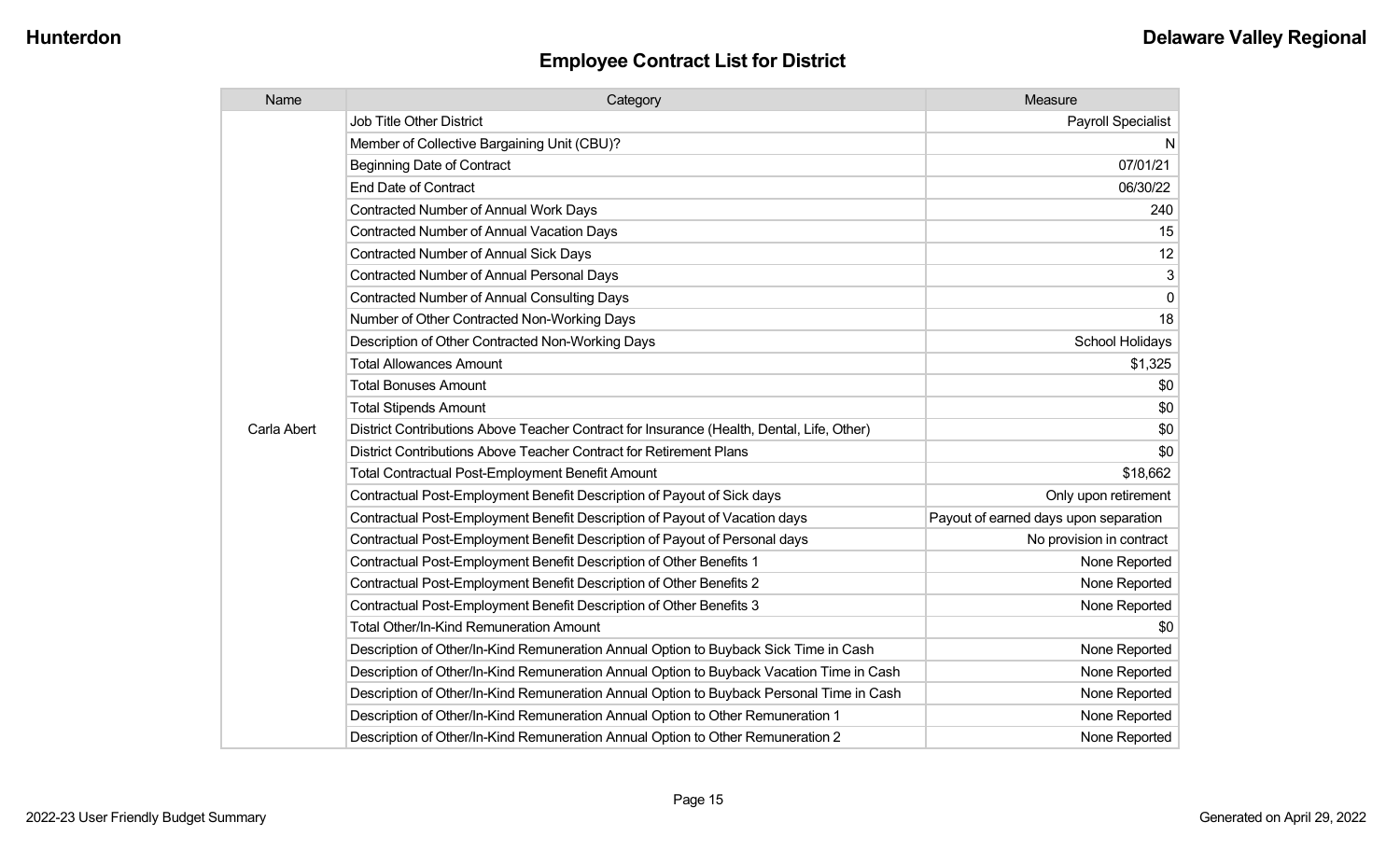| Name        | Category                                                                                  | Measure                               |
|-------------|-------------------------------------------------------------------------------------------|---------------------------------------|
|             | <b>Job Title Other District</b>                                                           | Payroll Specialist                    |
|             | Member of Collective Bargaining Unit (CBU)?                                               | N                                     |
|             | Beginning Date of Contract                                                                | 07/01/21                              |
|             | <b>End Date of Contract</b>                                                               | 06/30/22                              |
|             | <b>Contracted Number of Annual Work Days</b>                                              | 240                                   |
|             | <b>Contracted Number of Annual Vacation Days</b>                                          | 15                                    |
|             | Contracted Number of Annual Sick Days                                                     | 12                                    |
|             | <b>Contracted Number of Annual Personal Days</b>                                          | 3                                     |
|             | <b>Contracted Number of Annual Consulting Days</b>                                        | 0                                     |
|             | Number of Other Contracted Non-Working Days                                               | 18                                    |
|             | Description of Other Contracted Non-Working Days                                          | School Holidays                       |
|             | <b>Total Allowances Amount</b>                                                            | \$1,325                               |
|             | <b>Total Bonuses Amount</b>                                                               | \$0                                   |
|             | <b>Total Stipends Amount</b>                                                              | \$0                                   |
| Carla Abert | District Contributions Above Teacher Contract for Insurance (Health, Dental, Life, Other) | \$0                                   |
|             | District Contributions Above Teacher Contract for Retirement Plans                        | \$0                                   |
|             | Total Contractual Post-Employment Benefit Amount                                          | \$18,662                              |
|             | Contractual Post-Employment Benefit Description of Payout of Sick days                    | Only upon retirement                  |
|             | Contractual Post-Employment Benefit Description of Payout of Vacation days                | Payout of earned days upon separation |
|             | Contractual Post-Employment Benefit Description of Payout of Personal days                | No provision in contract              |
|             | Contractual Post-Employment Benefit Description of Other Benefits 1                       | None Reported                         |
|             | Contractual Post-Employment Benefit Description of Other Benefits 2                       | None Reported                         |
|             | Contractual Post-Employment Benefit Description of Other Benefits 3                       | None Reported                         |
|             | Total Other/In-Kind Remuneration Amount                                                   | \$0                                   |
|             | Description of Other/In-Kind Remuneration Annual Option to Buyback Sick Time in Cash      | None Reported                         |
|             | Description of Other/In-Kind Remuneration Annual Option to Buyback Vacation Time in Cash  | None Reported                         |
|             | Description of Other/In-Kind Remuneration Annual Option to Buyback Personal Time in Cash  | None Reported                         |
|             | Description of Other/In-Kind Remuneration Annual Option to Other Remuneration 1           | None Reported                         |
|             | Description of Other/In-Kind Remuneration Annual Option to Other Remuneration 2           | None Reported                         |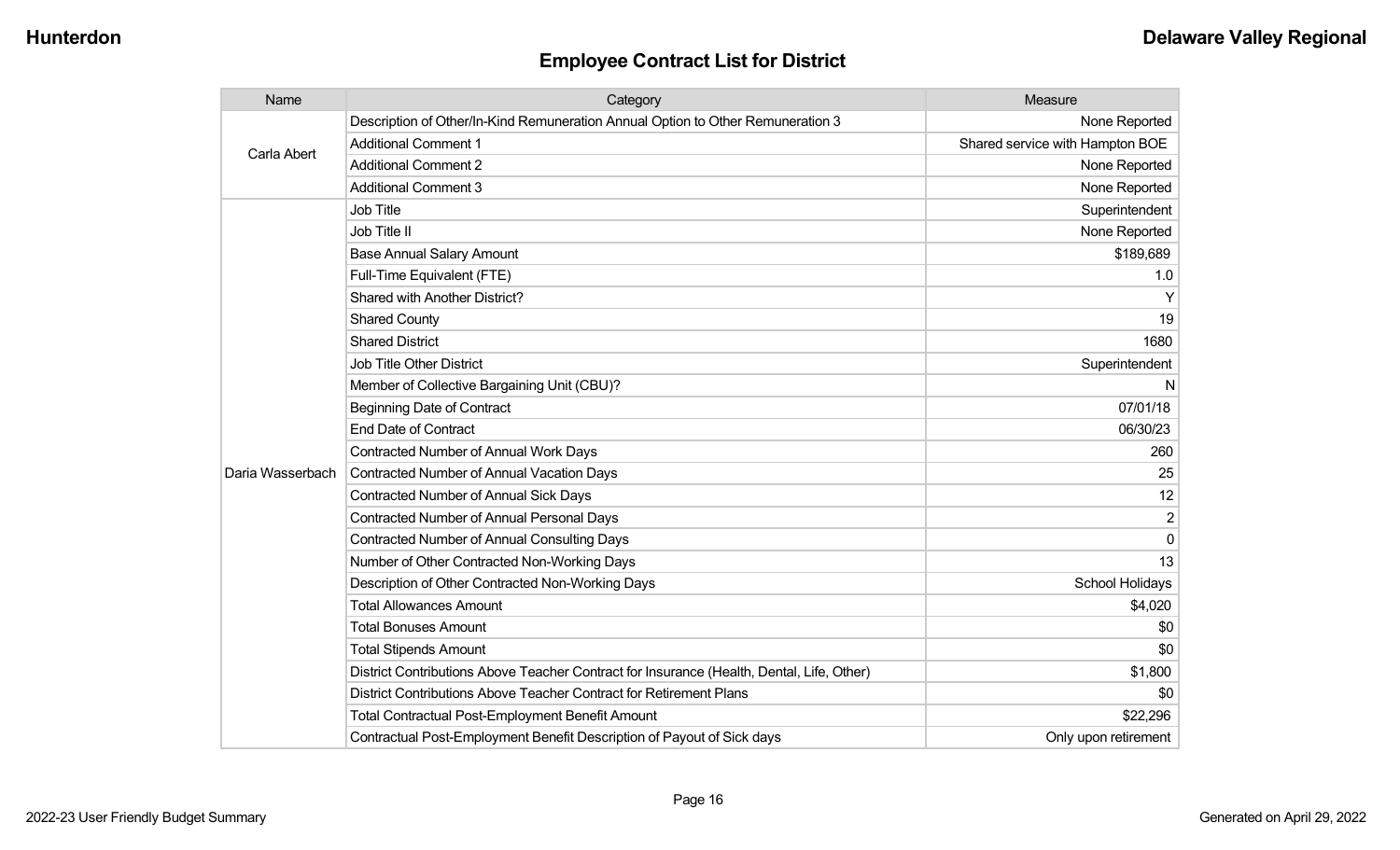| Name             | Category                                                                                  | Measure                         |
|------------------|-------------------------------------------------------------------------------------------|---------------------------------|
|                  | Description of Other/In-Kind Remuneration Annual Option to Other Remuneration 3           | None Reported                   |
| Carla Abert      | <b>Additional Comment 1</b>                                                               | Shared service with Hampton BOE |
|                  | <b>Additional Comment 2</b>                                                               | None Reported                   |
|                  | <b>Additional Comment 3</b>                                                               | None Reported                   |
|                  | <b>Job Title</b>                                                                          | Superintendent                  |
|                  | Job Title II                                                                              | None Reported                   |
|                  | <b>Base Annual Salary Amount</b>                                                          | \$189,689                       |
|                  | Full-Time Equivalent (FTE)                                                                | 1.0                             |
|                  | Shared with Another District?                                                             | Υ                               |
|                  | <b>Shared County</b>                                                                      | 19                              |
|                  | <b>Shared District</b>                                                                    | 1680                            |
|                  | <b>Job Title Other District</b>                                                           | Superintendent                  |
|                  | Member of Collective Bargaining Unit (CBU)?                                               | N                               |
|                  | <b>Beginning Date of Contract</b>                                                         | 07/01/18                        |
|                  | <b>End Date of Contract</b>                                                               | 06/30/23                        |
|                  | Contracted Number of Annual Work Days                                                     | 260                             |
| Daria Wasserbach | Contracted Number of Annual Vacation Days                                                 | 25                              |
|                  | <b>Contracted Number of Annual Sick Days</b>                                              | 12                              |
|                  | Contracted Number of Annual Personal Days                                                 | 2                               |
|                  | <b>Contracted Number of Annual Consulting Days</b>                                        | $\Omega$                        |
|                  | Number of Other Contracted Non-Working Days                                               | 13                              |
|                  | Description of Other Contracted Non-Working Days                                          | School Holidays                 |
|                  | <b>Total Allowances Amount</b>                                                            | \$4,020                         |
|                  | <b>Total Bonuses Amount</b>                                                               | \$0                             |
|                  | <b>Total Stipends Amount</b>                                                              | \$0                             |
|                  | District Contributions Above Teacher Contract for Insurance (Health, Dental, Life, Other) | \$1,800                         |
|                  | District Contributions Above Teacher Contract for Retirement Plans                        | \$0                             |
|                  | <b>Total Contractual Post-Employment Benefit Amount</b>                                   | \$22,296                        |
|                  | Contractual Post-Employment Benefit Description of Payout of Sick days                    | Only upon retirement            |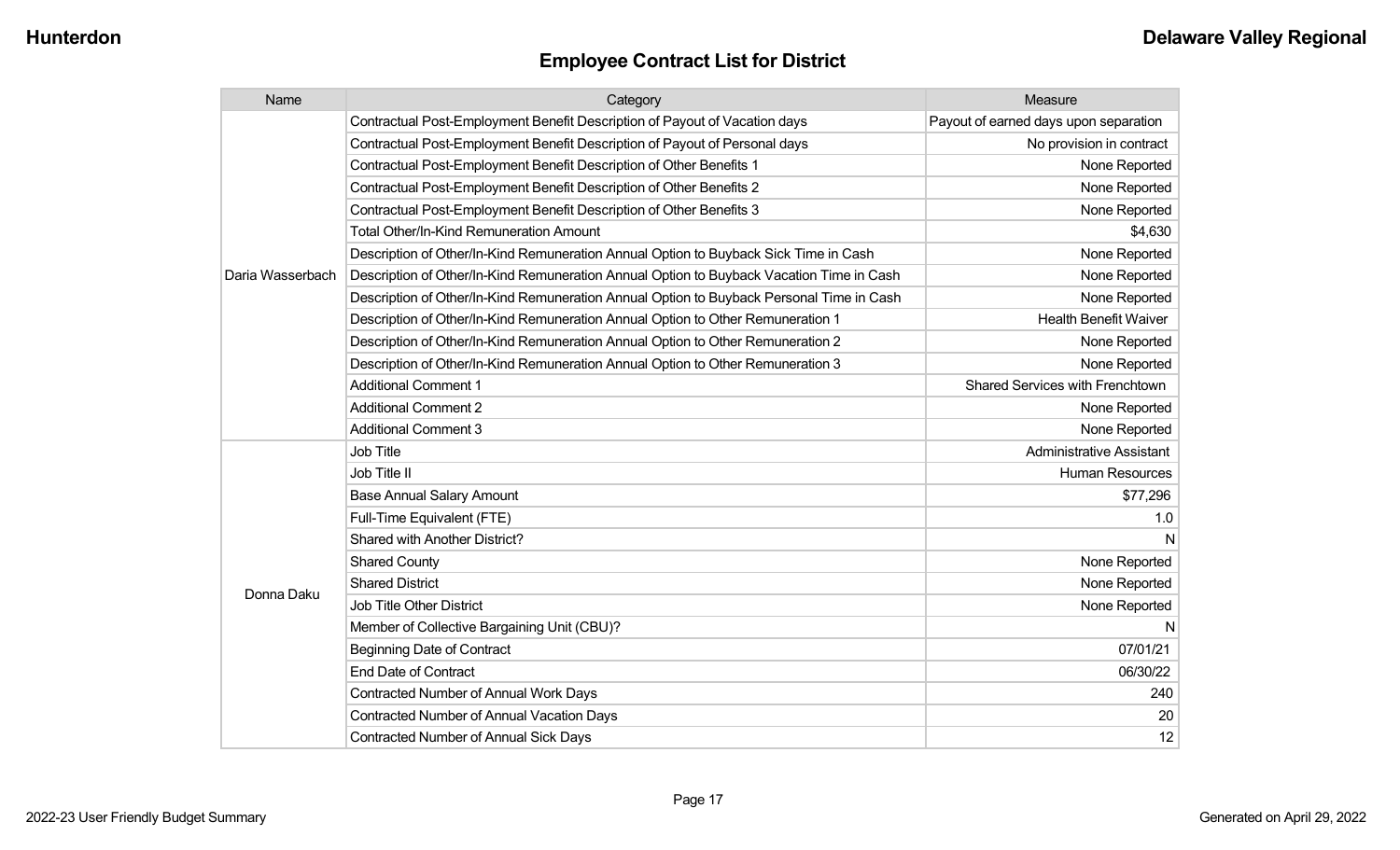| Name             | Category                                                                                 | Measure                               |
|------------------|------------------------------------------------------------------------------------------|---------------------------------------|
|                  | Contractual Post-Employment Benefit Description of Payout of Vacation days               | Payout of earned days upon separation |
|                  | Contractual Post-Employment Benefit Description of Payout of Personal days               | No provision in contract              |
|                  | Contractual Post-Employment Benefit Description of Other Benefits 1                      | None Reported                         |
|                  | Contractual Post-Employment Benefit Description of Other Benefits 2                      | None Reported                         |
|                  | Contractual Post-Employment Benefit Description of Other Benefits 3                      | None Reported                         |
|                  | <b>Total Other/In-Kind Remuneration Amount</b>                                           | \$4,630                               |
|                  | Description of Other/In-Kind Remuneration Annual Option to Buyback Sick Time in Cash     | None Reported                         |
| Daria Wasserbach | Description of Other/In-Kind Remuneration Annual Option to Buyback Vacation Time in Cash | None Reported                         |
|                  | Description of Other/In-Kind Remuneration Annual Option to Buyback Personal Time in Cash | None Reported                         |
|                  | Description of Other/In-Kind Remuneration Annual Option to Other Remuneration 1          | <b>Health Benefit Waiver</b>          |
|                  | Description of Other/In-Kind Remuneration Annual Option to Other Remuneration 2          | None Reported                         |
|                  | Description of Other/In-Kind Remuneration Annual Option to Other Remuneration 3          | None Reported                         |
|                  | <b>Additional Comment 1</b>                                                              | Shared Services with Frenchtown       |
|                  | <b>Additional Comment 2</b>                                                              | None Reported                         |
|                  | <b>Additional Comment 3</b>                                                              | None Reported                         |
|                  | Job Title                                                                                | <b>Administrative Assistant</b>       |
|                  | Job Title II                                                                             | <b>Human Resources</b>                |
|                  | <b>Base Annual Salary Amount</b>                                                         | \$77,296                              |
|                  | Full-Time Equivalent (FTE)                                                               | 1.0                                   |
|                  | Shared with Another District?                                                            |                                       |
|                  | <b>Shared County</b>                                                                     | None Reported                         |
| Donna Daku       | <b>Shared District</b>                                                                   | None Reported                         |
|                  | <b>Job Title Other District</b>                                                          | None Reported                         |
|                  | Member of Collective Bargaining Unit (CBU)?                                              | N                                     |
|                  | <b>Beginning Date of Contract</b>                                                        | 07/01/21                              |
|                  | <b>End Date of Contract</b>                                                              | 06/30/22                              |
|                  | <b>Contracted Number of Annual Work Days</b>                                             | 240                                   |
|                  | <b>Contracted Number of Annual Vacation Days</b>                                         | 20                                    |
|                  | <b>Contracted Number of Annual Sick Days</b>                                             | 12                                    |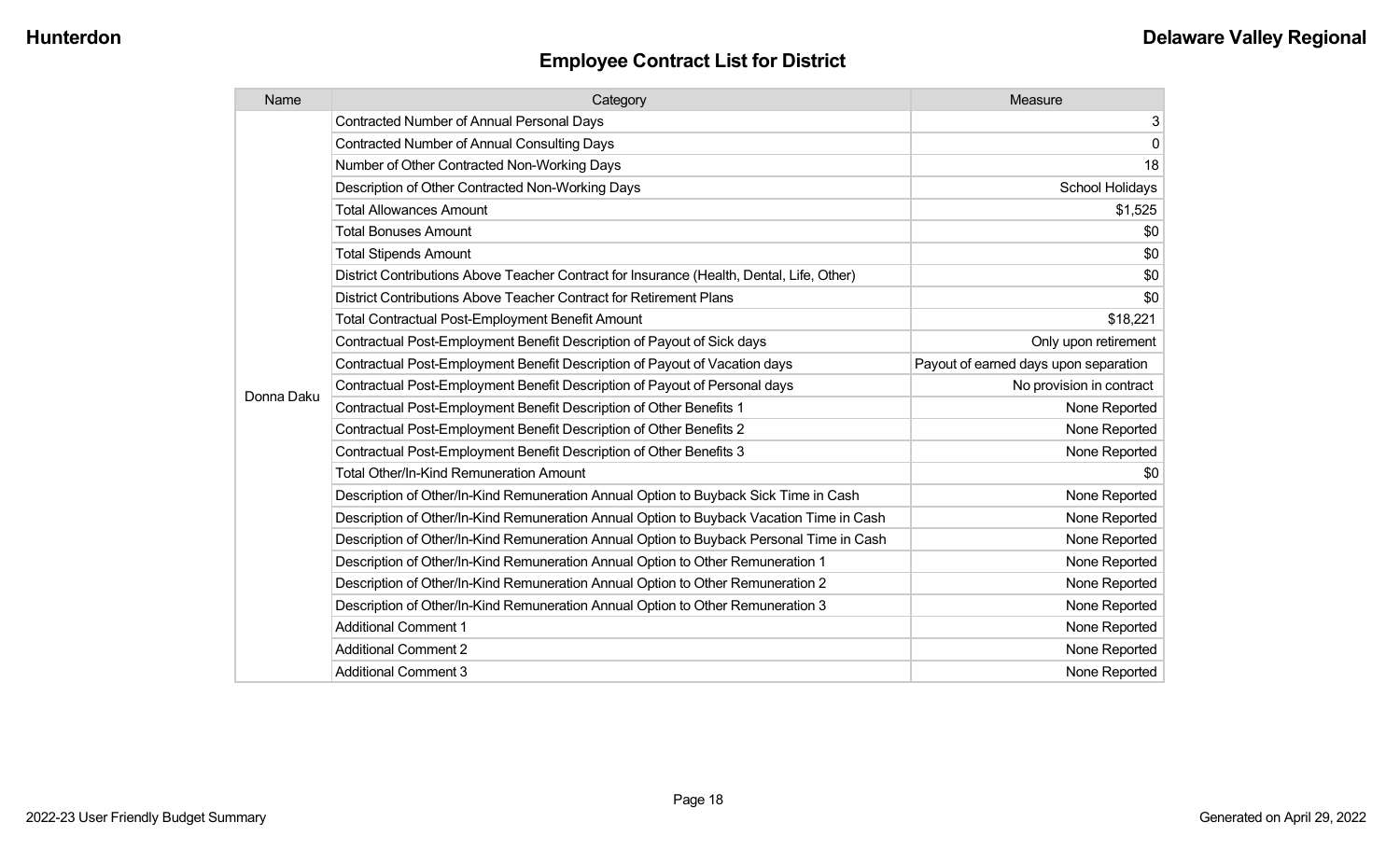| Name       | Category                                                                                  | Measure                               |
|------------|-------------------------------------------------------------------------------------------|---------------------------------------|
|            | <b>Contracted Number of Annual Personal Days</b>                                          | 3                                     |
|            | <b>Contracted Number of Annual Consulting Days</b>                                        | $\mathbf 0$                           |
|            | Number of Other Contracted Non-Working Days                                               | 18                                    |
|            | Description of Other Contracted Non-Working Days                                          | School Holidays                       |
|            | <b>Total Allowances Amount</b>                                                            | \$1,525                               |
|            | <b>Total Bonuses Amount</b>                                                               | \$0                                   |
|            | <b>Total Stipends Amount</b>                                                              | \$0                                   |
|            | District Contributions Above Teacher Contract for Insurance (Health, Dental, Life, Other) | \$0                                   |
|            | District Contributions Above Teacher Contract for Retirement Plans                        | \$0                                   |
|            | <b>Total Contractual Post-Employment Benefit Amount</b>                                   | \$18,221                              |
|            | Contractual Post-Employment Benefit Description of Payout of Sick days                    | Only upon retirement                  |
|            | Contractual Post-Employment Benefit Description of Payout of Vacation days                | Payout of earned days upon separation |
| Donna Daku | Contractual Post-Employment Benefit Description of Payout of Personal days                | No provision in contract              |
|            | Contractual Post-Employment Benefit Description of Other Benefits 1                       | None Reported                         |
|            | Contractual Post-Employment Benefit Description of Other Benefits 2                       | None Reported                         |
|            | Contractual Post-Employment Benefit Description of Other Benefits 3                       | None Reported                         |
|            | <b>Total Other/In-Kind Remuneration Amount</b>                                            | \$0                                   |
|            | Description of Other/In-Kind Remuneration Annual Option to Buyback Sick Time in Cash      | None Reported                         |
|            | Description of Other/In-Kind Remuneration Annual Option to Buyback Vacation Time in Cash  | None Reported                         |
|            | Description of Other/In-Kind Remuneration Annual Option to Buyback Personal Time in Cash  | None Reported                         |
|            | Description of Other/In-Kind Remuneration Annual Option to Other Remuneration 1           | None Reported                         |
|            | Description of Other/In-Kind Remuneration Annual Option to Other Remuneration 2           | None Reported                         |
|            | Description of Other/In-Kind Remuneration Annual Option to Other Remuneration 3           | None Reported                         |
|            | <b>Additional Comment 1</b>                                                               | None Reported                         |
|            | <b>Additional Comment 2</b>                                                               | None Reported                         |
|            | <b>Additional Comment 3</b>                                                               | None Reported                         |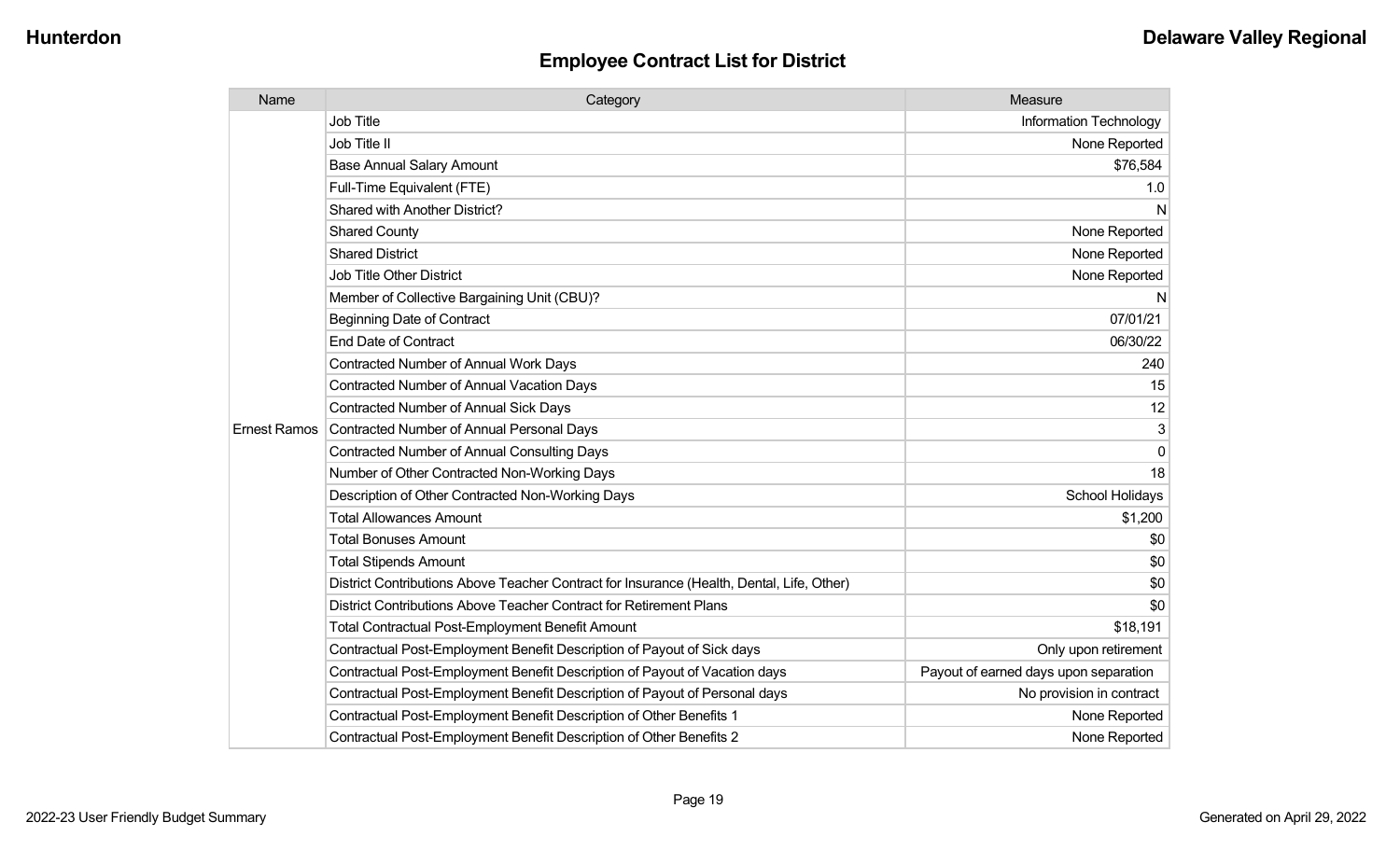| Name                | Category                                                                                  | Measure                               |
|---------------------|-------------------------------------------------------------------------------------------|---------------------------------------|
|                     | <b>Job Title</b>                                                                          | Information Technology                |
|                     | Job Title II                                                                              | None Reported                         |
|                     | <b>Base Annual Salary Amount</b>                                                          | \$76,584                              |
|                     | Full-Time Equivalent (FTE)                                                                | 1.0                                   |
|                     | Shared with Another District?                                                             | N                                     |
|                     | <b>Shared County</b>                                                                      | None Reported                         |
|                     | <b>Shared District</b>                                                                    | None Reported                         |
|                     | <b>Job Title Other District</b>                                                           | None Reported                         |
|                     | Member of Collective Bargaining Unit (CBU)?                                               | N                                     |
|                     | <b>Beginning Date of Contract</b>                                                         | 07/01/21                              |
|                     | <b>End Date of Contract</b>                                                               | 06/30/22                              |
|                     | <b>Contracted Number of Annual Work Days</b>                                              | 240                                   |
|                     | <b>Contracted Number of Annual Vacation Days</b>                                          | 15                                    |
|                     | <b>Contracted Number of Annual Sick Days</b>                                              | 12                                    |
| <b>Ernest Ramos</b> | Contracted Number of Annual Personal Days                                                 | 3                                     |
|                     | <b>Contracted Number of Annual Consulting Days</b>                                        | $\mathbf{0}$                          |
|                     | Number of Other Contracted Non-Working Days                                               | 18                                    |
|                     | Description of Other Contracted Non-Working Days                                          | School Holidays                       |
|                     | <b>Total Allowances Amount</b>                                                            | \$1,200                               |
|                     | <b>Total Bonuses Amount</b>                                                               | \$0                                   |
|                     | <b>Total Stipends Amount</b>                                                              | \$0                                   |
|                     | District Contributions Above Teacher Contract for Insurance (Health, Dental, Life, Other) | \$0                                   |
|                     | District Contributions Above Teacher Contract for Retirement Plans                        | \$0                                   |
|                     | <b>Total Contractual Post-Employment Benefit Amount</b>                                   | \$18,191                              |
|                     | Contractual Post-Employment Benefit Description of Payout of Sick days                    | Only upon retirement                  |
|                     | Contractual Post-Employment Benefit Description of Payout of Vacation days                | Payout of earned days upon separation |
|                     | Contractual Post-Employment Benefit Description of Payout of Personal days                | No provision in contract              |
|                     | Contractual Post-Employment Benefit Description of Other Benefits 1                       | None Reported                         |
|                     | Contractual Post-Employment Benefit Description of Other Benefits 2                       | None Reported                         |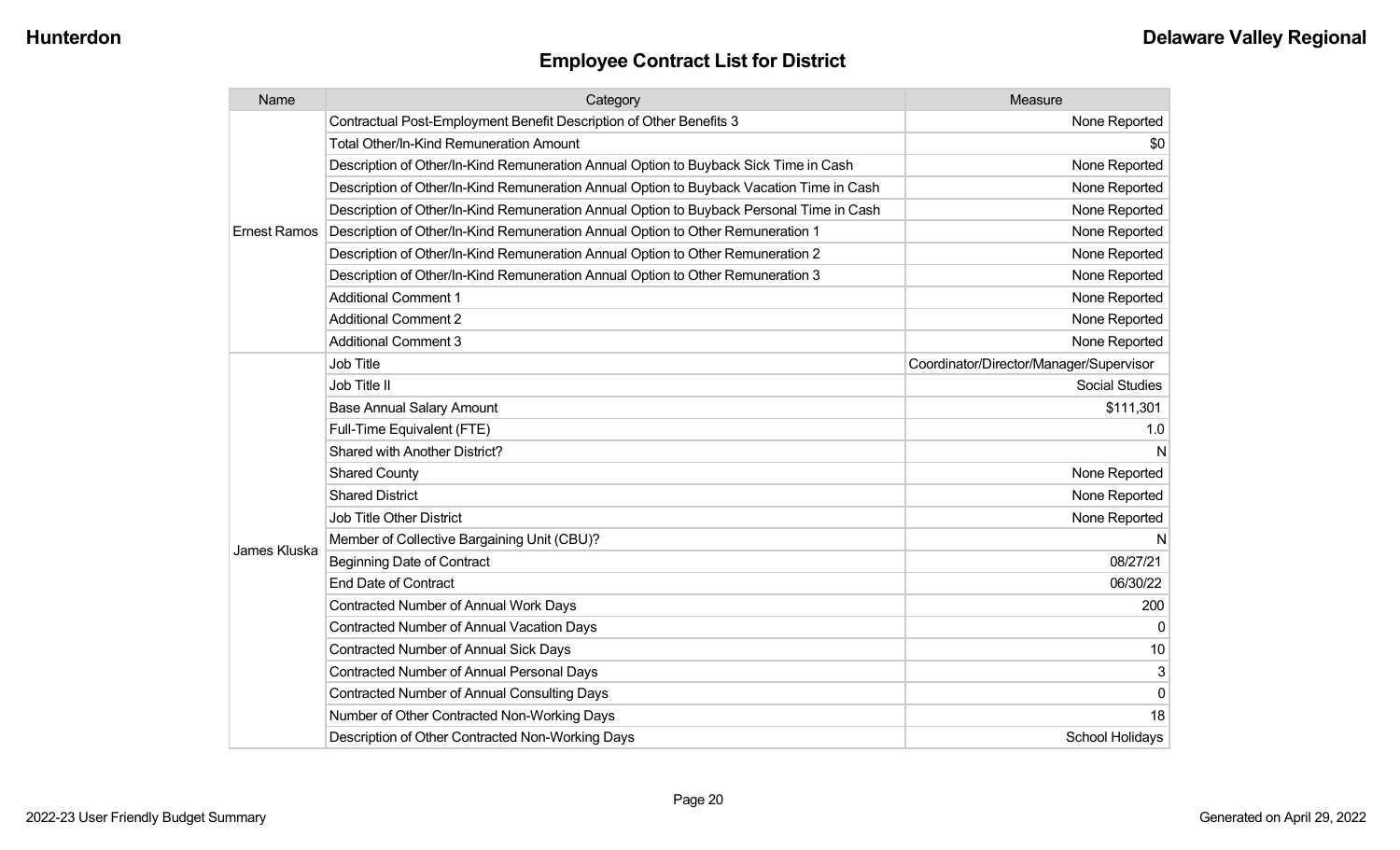| Name                | Category                                                                                 | Measure                                 |
|---------------------|------------------------------------------------------------------------------------------|-----------------------------------------|
|                     | Contractual Post-Employment Benefit Description of Other Benefits 3                      | None Reported                           |
|                     | <b>Total Other/In-Kind Remuneration Amount</b>                                           | \$0                                     |
|                     | Description of Other/In-Kind Remuneration Annual Option to Buyback Sick Time in Cash     | None Reported                           |
|                     | Description of Other/In-Kind Remuneration Annual Option to Buyback Vacation Time in Cash | None Reported                           |
|                     | Description of Other/In-Kind Remuneration Annual Option to Buyback Personal Time in Cash | None Reported                           |
| <b>Ernest Ramos</b> | Description of Other/In-Kind Remuneration Annual Option to Other Remuneration 1          | None Reported                           |
|                     | Description of Other/In-Kind Remuneration Annual Option to Other Remuneration 2          | None Reported                           |
|                     | Description of Other/In-Kind Remuneration Annual Option to Other Remuneration 3          | None Reported                           |
|                     | <b>Additional Comment 1</b>                                                              | None Reported                           |
|                     | <b>Additional Comment 2</b>                                                              | None Reported                           |
|                     | <b>Additional Comment 3</b>                                                              | None Reported                           |
|                     | <b>Job Title</b>                                                                         | Coordinator/Director/Manager/Supervisor |
|                     | Job Title II                                                                             | <b>Social Studies</b>                   |
|                     | <b>Base Annual Salary Amount</b>                                                         | \$111,301                               |
|                     | Full-Time Equivalent (FTE)                                                               | 1.0                                     |
|                     | <b>Shared with Another District?</b>                                                     | N                                       |
|                     | <b>Shared County</b>                                                                     | None Reported                           |
|                     | <b>Shared District</b>                                                                   | None Reported                           |
|                     | <b>Job Title Other District</b>                                                          | None Reported                           |
|                     | Member of Collective Bargaining Unit (CBU)?                                              | N                                       |
| James Kluska        | <b>Beginning Date of Contract</b>                                                        | 08/27/21                                |
|                     | <b>End Date of Contract</b>                                                              | 06/30/22                                |
|                     | <b>Contracted Number of Annual Work Days</b>                                             | 200                                     |
|                     | <b>Contracted Number of Annual Vacation Days</b>                                         | 0                                       |
|                     | <b>Contracted Number of Annual Sick Days</b>                                             | 10                                      |
|                     | <b>Contracted Number of Annual Personal Days</b>                                         | 3                                       |
|                     | Contracted Number of Annual Consulting Days                                              | $\mathbf 0$                             |
|                     | Number of Other Contracted Non-Working Days                                              | 18                                      |
|                     | Description of Other Contracted Non-Working Days                                         | School Holidays                         |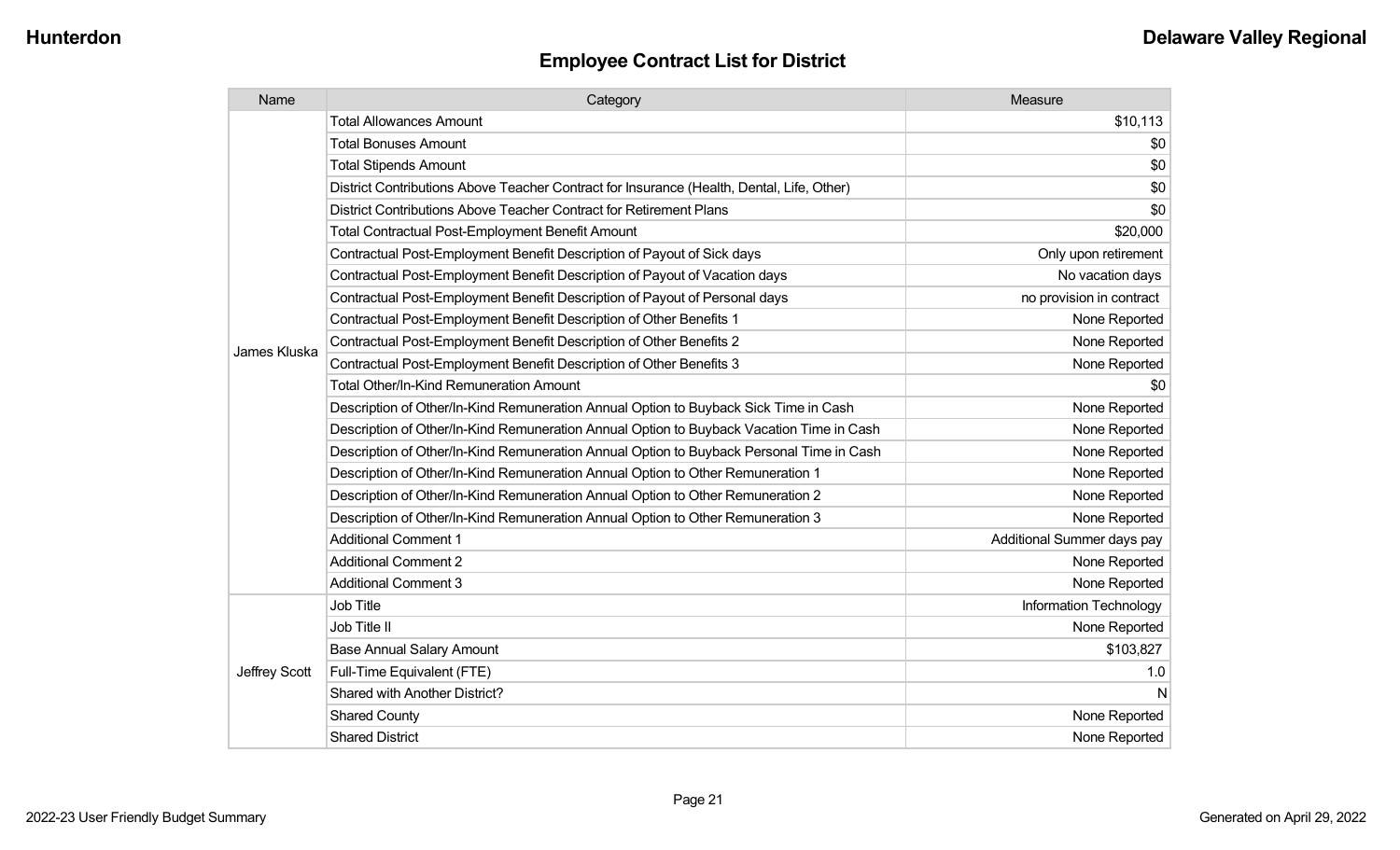| Name          | Category                                                                                  | Measure                    |
|---------------|-------------------------------------------------------------------------------------------|----------------------------|
|               | <b>Total Allowances Amount</b>                                                            | \$10,113                   |
|               | <b>Total Bonuses Amount</b>                                                               | \$0                        |
|               | <b>Total Stipends Amount</b>                                                              | \$0                        |
|               | District Contributions Above Teacher Contract for Insurance (Health, Dental, Life, Other) | \$0                        |
|               | District Contributions Above Teacher Contract for Retirement Plans                        | \$0                        |
|               | <b>Total Contractual Post-Employment Benefit Amount</b>                                   | \$20,000                   |
|               | Contractual Post-Employment Benefit Description of Payout of Sick days                    | Only upon retirement       |
|               | Contractual Post-Employment Benefit Description of Payout of Vacation days                | No vacation days           |
|               | Contractual Post-Employment Benefit Description of Payout of Personal days                | no provision in contract   |
|               | Contractual Post-Employment Benefit Description of Other Benefits 1                       | None Reported              |
| James Kluska  | Contractual Post-Employment Benefit Description of Other Benefits 2                       | None Reported              |
|               | Contractual Post-Employment Benefit Description of Other Benefits 3                       | None Reported              |
|               | Total Other/In-Kind Remuneration Amount                                                   | \$0                        |
|               | Description of Other/In-Kind Remuneration Annual Option to Buyback Sick Time in Cash      | None Reported              |
|               | Description of Other/In-Kind Remuneration Annual Option to Buyback Vacation Time in Cash  | None Reported              |
|               | Description of Other/In-Kind Remuneration Annual Option to Buyback Personal Time in Cash  | None Reported              |
|               | Description of Other/In-Kind Remuneration Annual Option to Other Remuneration 1           | None Reported              |
|               | Description of Other/In-Kind Remuneration Annual Option to Other Remuneration 2           | None Reported              |
|               | Description of Other/In-Kind Remuneration Annual Option to Other Remuneration 3           | None Reported              |
|               | <b>Additional Comment 1</b>                                                               | Additional Summer days pay |
|               | <b>Additional Comment 2</b>                                                               | None Reported              |
|               | <b>Additional Comment 3</b>                                                               | None Reported              |
|               | <b>Job Title</b>                                                                          | Information Technology     |
| Jeffrey Scott | Job Title II                                                                              | None Reported              |
|               | <b>Base Annual Salary Amount</b>                                                          | \$103,827                  |
|               | Full-Time Equivalent (FTE)                                                                | 1.0                        |
|               | Shared with Another District?                                                             | N                          |
|               | <b>Shared County</b>                                                                      | None Reported              |
|               | <b>Shared District</b>                                                                    | None Reported              |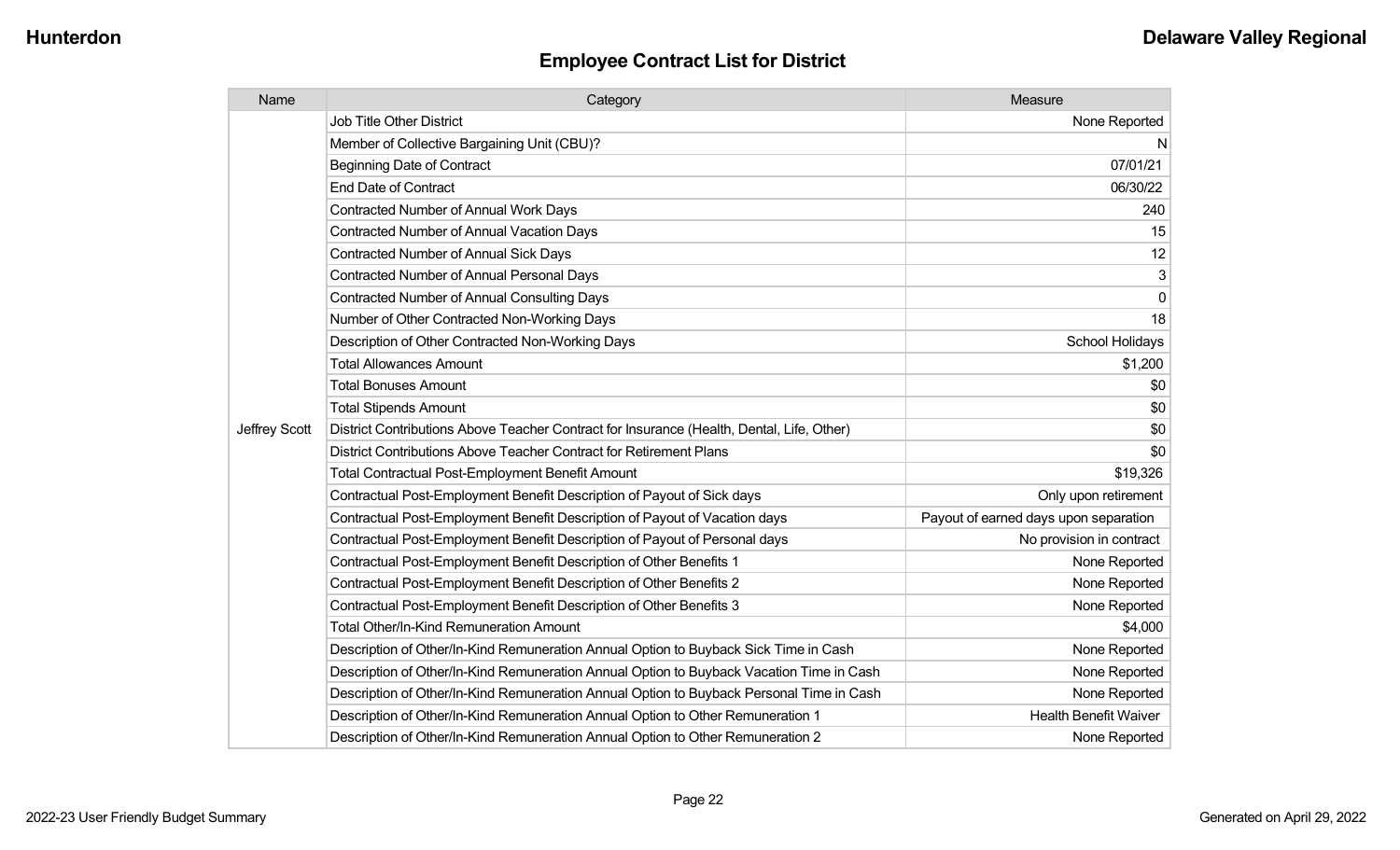| Name          | Category                                                                                  | Measure                               |
|---------------|-------------------------------------------------------------------------------------------|---------------------------------------|
|               | <b>Job Title Other District</b>                                                           | None Reported                         |
|               | Member of Collective Bargaining Unit (CBU)?                                               | N                                     |
|               | <b>Beginning Date of Contract</b>                                                         | 07/01/21                              |
|               | <b>End Date of Contract</b>                                                               | 06/30/22                              |
|               | Contracted Number of Annual Work Days                                                     | 240                                   |
|               | <b>Contracted Number of Annual Vacation Days</b>                                          | 15                                    |
|               | Contracted Number of Annual Sick Days                                                     | 12                                    |
|               | Contracted Number of Annual Personal Days                                                 | 3                                     |
|               | <b>Contracted Number of Annual Consulting Days</b>                                        | 0                                     |
|               | Number of Other Contracted Non-Working Days                                               | 18                                    |
|               | Description of Other Contracted Non-Working Days                                          | School Holidays                       |
|               | <b>Total Allowances Amount</b>                                                            | \$1,200                               |
|               | <b>Total Bonuses Amount</b>                                                               | \$0                                   |
|               | <b>Total Stipends Amount</b>                                                              | \$0                                   |
| Jeffrey Scott | District Contributions Above Teacher Contract for Insurance (Health, Dental, Life, Other) | \$0                                   |
|               | District Contributions Above Teacher Contract for Retirement Plans                        | \$0                                   |
|               | Total Contractual Post-Employment Benefit Amount                                          | \$19,326                              |
|               | Contractual Post-Employment Benefit Description of Payout of Sick days                    | Only upon retirement                  |
|               | Contractual Post-Employment Benefit Description of Payout of Vacation days                | Payout of earned days upon separation |
|               | Contractual Post-Employment Benefit Description of Payout of Personal days                | No provision in contract              |
|               | Contractual Post-Employment Benefit Description of Other Benefits 1                       | None Reported                         |
|               | Contractual Post-Employment Benefit Description of Other Benefits 2                       | None Reported                         |
|               | Contractual Post-Employment Benefit Description of Other Benefits 3                       | None Reported                         |
|               | <b>Total Other/In-Kind Remuneration Amount</b>                                            | \$4,000                               |
|               | Description of Other/In-Kind Remuneration Annual Option to Buyback Sick Time in Cash      | None Reported                         |
|               | Description of Other/In-Kind Remuneration Annual Option to Buyback Vacation Time in Cash  | None Reported                         |
|               | Description of Other/In-Kind Remuneration Annual Option to Buyback Personal Time in Cash  | None Reported                         |
|               | Description of Other/In-Kind Remuneration Annual Option to Other Remuneration 1           | <b>Health Benefit Waiver</b>          |
|               | Description of Other/In-Kind Remuneration Annual Option to Other Remuneration 2           | None Reported                         |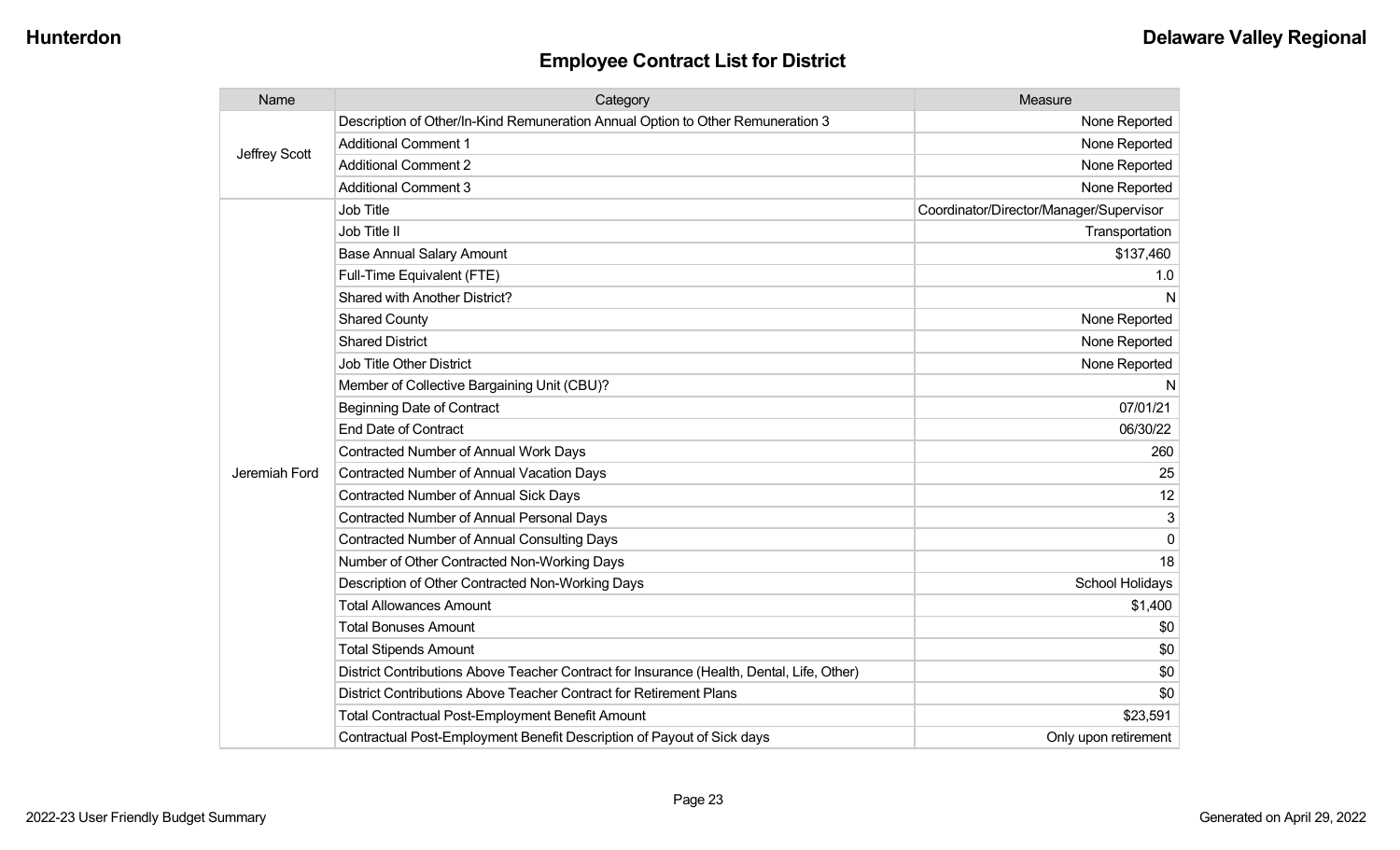| Name          | Category                                                                                  | Measure                                 |
|---------------|-------------------------------------------------------------------------------------------|-----------------------------------------|
| Jeffrey Scott | Description of Other/In-Kind Remuneration Annual Option to Other Remuneration 3           | None Reported                           |
|               | <b>Additional Comment 1</b>                                                               | None Reported                           |
|               | <b>Additional Comment 2</b>                                                               | None Reported                           |
|               | <b>Additional Comment 3</b>                                                               | None Reported                           |
|               | Job Title                                                                                 | Coordinator/Director/Manager/Supervisor |
|               | Job Title II                                                                              | Transportation                          |
|               | <b>Base Annual Salary Amount</b>                                                          | \$137,460                               |
|               | Full-Time Equivalent (FTE)                                                                | 1.0                                     |
|               | Shared with Another District?                                                             | N                                       |
|               | <b>Shared County</b>                                                                      | None Reported                           |
|               | <b>Shared District</b>                                                                    | None Reported                           |
|               | <b>Job Title Other District</b>                                                           | None Reported                           |
|               | Member of Collective Bargaining Unit (CBU)?                                               | N                                       |
|               | <b>Beginning Date of Contract</b>                                                         | 07/01/21                                |
|               | <b>End Date of Contract</b>                                                               | 06/30/22                                |
|               | Contracted Number of Annual Work Days                                                     | 260                                     |
| Jeremiah Ford | Contracted Number of Annual Vacation Days                                                 | 25                                      |
|               | <b>Contracted Number of Annual Sick Days</b>                                              | 12                                      |
|               | <b>Contracted Number of Annual Personal Days</b>                                          | 3                                       |
|               | <b>Contracted Number of Annual Consulting Days</b>                                        | $\Omega$                                |
|               | Number of Other Contracted Non-Working Days                                               | 18                                      |
|               | Description of Other Contracted Non-Working Days                                          | School Holidays                         |
|               | <b>Total Allowances Amount</b>                                                            | \$1,400                                 |
|               | <b>Total Bonuses Amount</b>                                                               | \$0                                     |
|               | <b>Total Stipends Amount</b>                                                              | \$0                                     |
|               | District Contributions Above Teacher Contract for Insurance (Health, Dental, Life, Other) | \$0                                     |
|               | District Contributions Above Teacher Contract for Retirement Plans                        | \$0                                     |
|               | Total Contractual Post-Employment Benefit Amount                                          | \$23,591                                |
|               | Contractual Post-Employment Benefit Description of Payout of Sick days                    | Only upon retirement                    |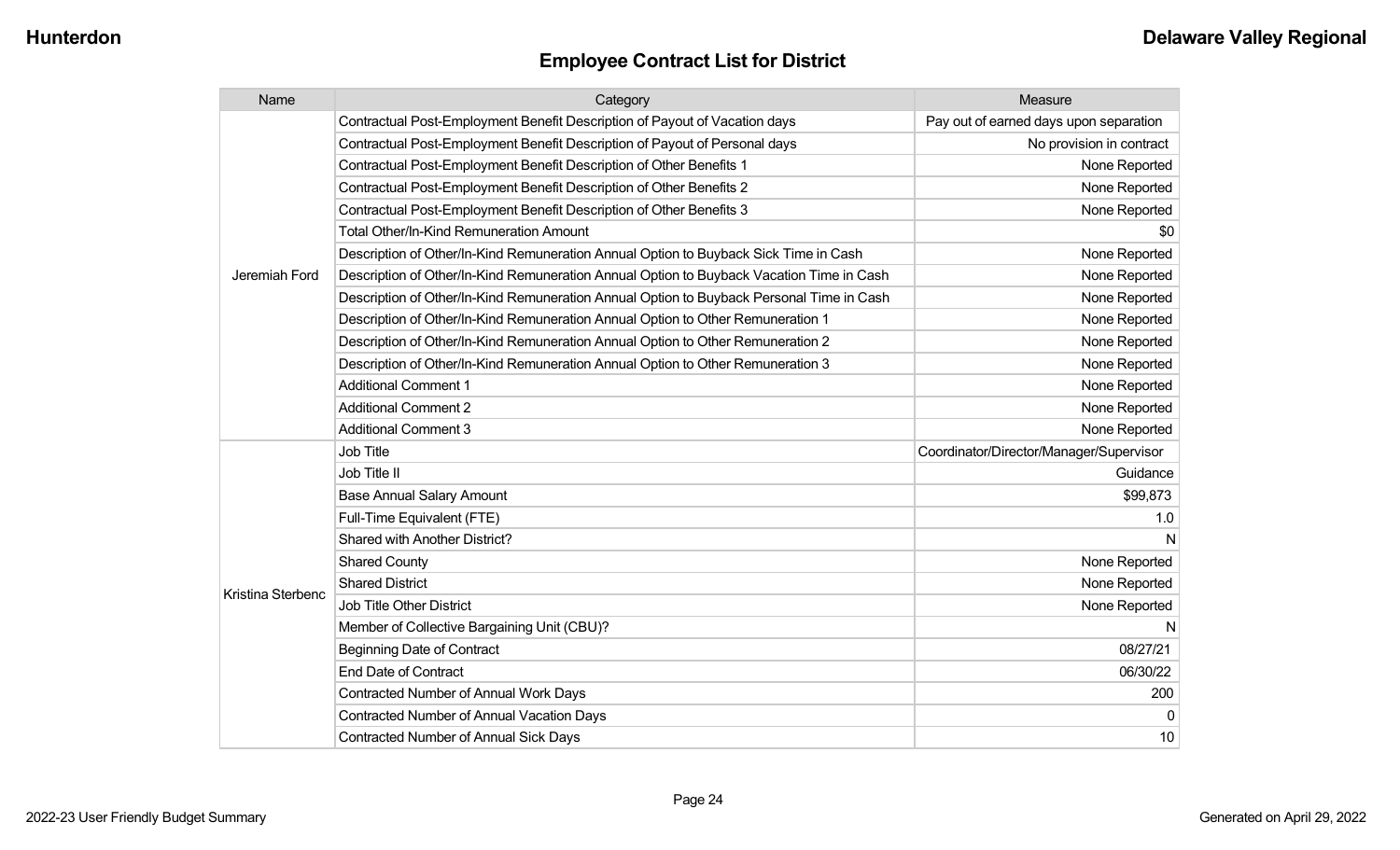| Name              | Category                                                                                 | Measure                                 |
|-------------------|------------------------------------------------------------------------------------------|-----------------------------------------|
|                   | Contractual Post-Employment Benefit Description of Payout of Vacation days               | Pay out of earned days upon separation  |
|                   | Contractual Post-Employment Benefit Description of Payout of Personal days               | No provision in contract                |
|                   | Contractual Post-Employment Benefit Description of Other Benefits 1                      | None Reported                           |
|                   | Contractual Post-Employment Benefit Description of Other Benefits 2                      | None Reported                           |
|                   | Contractual Post-Employment Benefit Description of Other Benefits 3                      | None Reported                           |
|                   | <b>Total Other/In-Kind Remuneration Amount</b>                                           | \$0                                     |
|                   | Description of Other/In-Kind Remuneration Annual Option to Buyback Sick Time in Cash     | None Reported                           |
| Jeremiah Ford     | Description of Other/In-Kind Remuneration Annual Option to Buyback Vacation Time in Cash | None Reported                           |
|                   | Description of Other/In-Kind Remuneration Annual Option to Buyback Personal Time in Cash | None Reported                           |
|                   | Description of Other/In-Kind Remuneration Annual Option to Other Remuneration 1          | None Reported                           |
|                   | Description of Other/In-Kind Remuneration Annual Option to Other Remuneration 2          | None Reported                           |
|                   | Description of Other/In-Kind Remuneration Annual Option to Other Remuneration 3          | None Reported                           |
|                   | <b>Additional Comment 1</b>                                                              | None Reported                           |
|                   | <b>Additional Comment 2</b>                                                              | None Reported                           |
|                   | <b>Additional Comment 3</b>                                                              | None Reported                           |
|                   | <b>Job Title</b>                                                                         | Coordinator/Director/Manager/Supervisor |
|                   | Job Title II                                                                             | Guidance                                |
|                   | <b>Base Annual Salary Amount</b>                                                         | \$99,873                                |
|                   | Full-Time Equivalent (FTE)                                                               | 1.0                                     |
|                   | Shared with Another District?                                                            |                                         |
|                   | <b>Shared County</b>                                                                     | None Reported                           |
| Kristina Sterbenc | <b>Shared District</b>                                                                   | None Reported                           |
|                   | <b>Job Title Other District</b>                                                          | None Reported                           |
|                   | Member of Collective Bargaining Unit (CBU)?                                              | N                                       |
|                   | <b>Beginning Date of Contract</b>                                                        | 08/27/21                                |
|                   | <b>End Date of Contract</b>                                                              | 06/30/22                                |
|                   | <b>Contracted Number of Annual Work Days</b>                                             | 200                                     |
|                   | <b>Contracted Number of Annual Vacation Days</b>                                         | $\Omega$                                |
|                   | <b>Contracted Number of Annual Sick Days</b>                                             | 10                                      |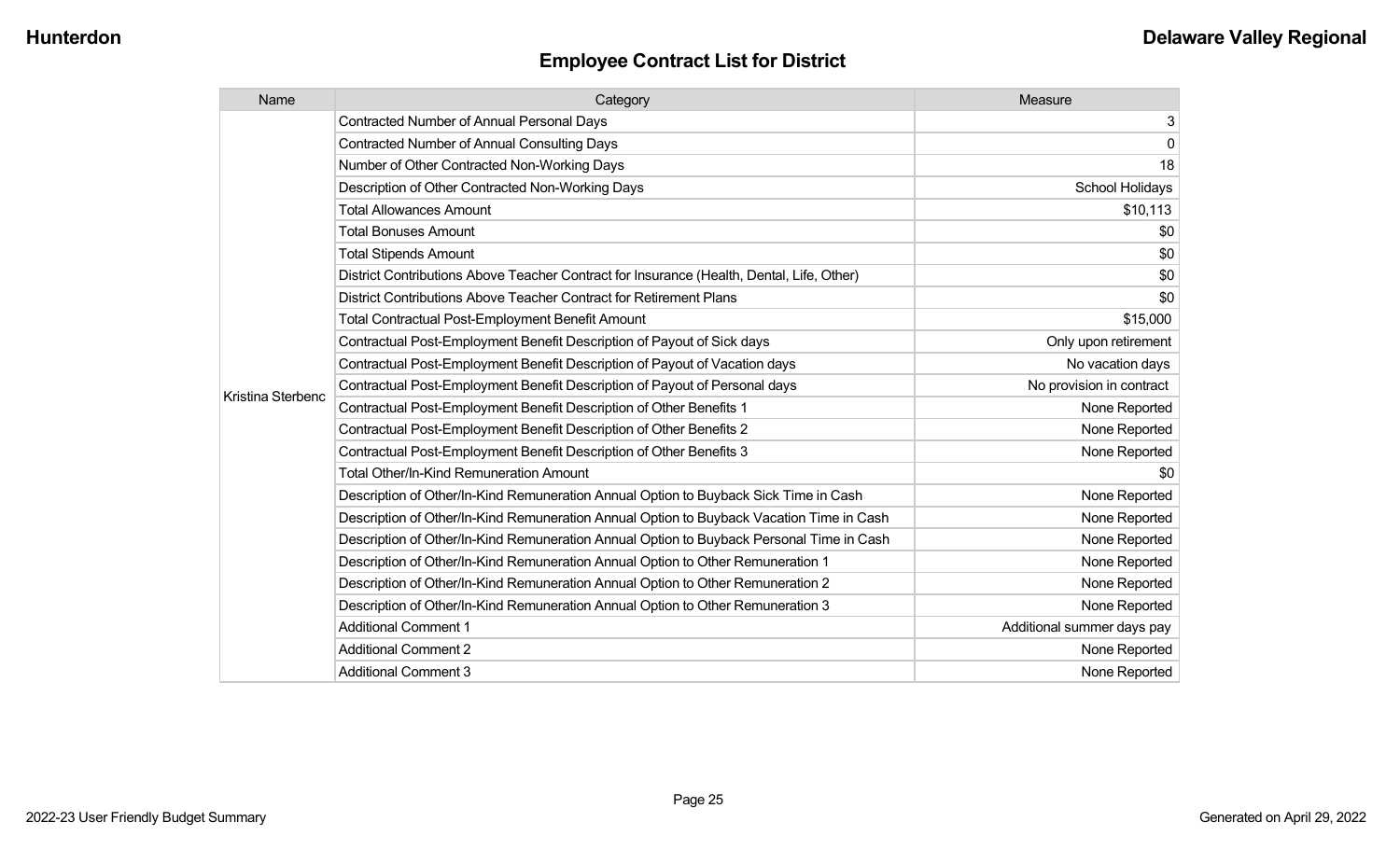| Name              | Category                                                                                  | Measure                    |
|-------------------|-------------------------------------------------------------------------------------------|----------------------------|
|                   | Contracted Number of Annual Personal Days                                                 | 3                          |
|                   | <b>Contracted Number of Annual Consulting Days</b>                                        | 0                          |
|                   | Number of Other Contracted Non-Working Days                                               | 18                         |
|                   | Description of Other Contracted Non-Working Days                                          | School Holidays            |
|                   | <b>Total Allowances Amount</b>                                                            | \$10,113                   |
|                   | <b>Total Bonuses Amount</b>                                                               | \$0                        |
|                   | <b>Total Stipends Amount</b>                                                              | \$0                        |
|                   | District Contributions Above Teacher Contract for Insurance (Health, Dental, Life, Other) | \$0                        |
|                   | District Contributions Above Teacher Contract for Retirement Plans                        | \$0                        |
|                   | <b>Total Contractual Post-Employment Benefit Amount</b>                                   | \$15,000                   |
|                   | Contractual Post-Employment Benefit Description of Payout of Sick days                    | Only upon retirement       |
|                   | Contractual Post-Employment Benefit Description of Payout of Vacation days                | No vacation days           |
|                   | Contractual Post-Employment Benefit Description of Payout of Personal days                | No provision in contract   |
| Kristina Sterbenc | Contractual Post-Employment Benefit Description of Other Benefits 1                       | None Reported              |
|                   | Contractual Post-Employment Benefit Description of Other Benefits 2                       | None Reported              |
|                   | Contractual Post-Employment Benefit Description of Other Benefits 3                       | None Reported              |
|                   | Total Other/In-Kind Remuneration Amount                                                   | \$0                        |
|                   | Description of Other/In-Kind Remuneration Annual Option to Buyback Sick Time in Cash      | None Reported              |
|                   | Description of Other/In-Kind Remuneration Annual Option to Buyback Vacation Time in Cash  | None Reported              |
|                   | Description of Other/In-Kind Remuneration Annual Option to Buyback Personal Time in Cash  | None Reported              |
|                   | Description of Other/In-Kind Remuneration Annual Option to Other Remuneration 1           | None Reported              |
|                   | Description of Other/In-Kind Remuneration Annual Option to Other Remuneration 2           | None Reported              |
|                   | Description of Other/In-Kind Remuneration Annual Option to Other Remuneration 3           | None Reported              |
|                   | <b>Additional Comment 1</b>                                                               | Additional summer days pay |
|                   | <b>Additional Comment 2</b>                                                               | None Reported              |
|                   | <b>Additional Comment 3</b>                                                               | None Reported              |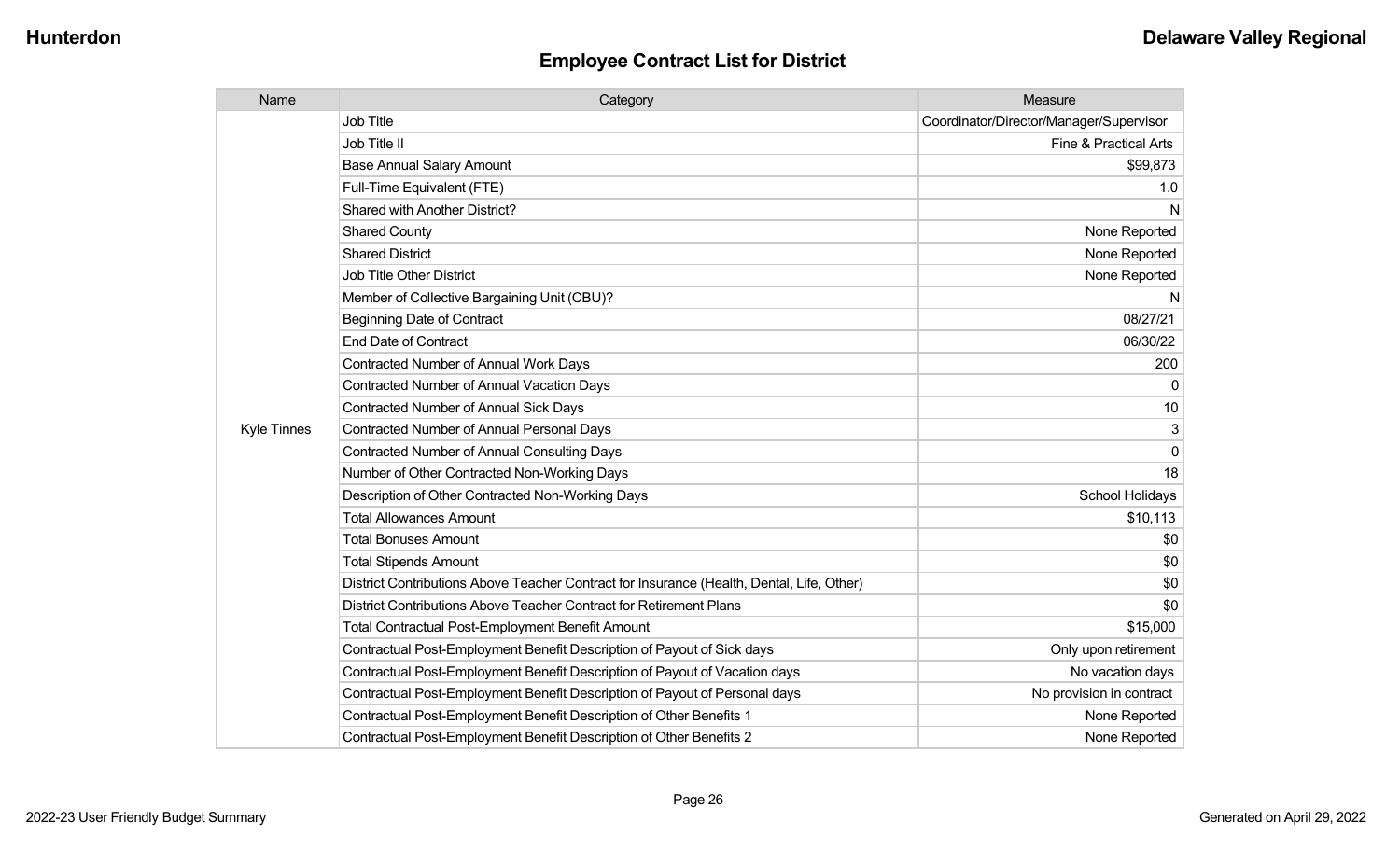| Name               | Category                                                                                  | Measure                                 |
|--------------------|-------------------------------------------------------------------------------------------|-----------------------------------------|
|                    | <b>Job Title</b>                                                                          | Coordinator/Director/Manager/Supervisor |
|                    | Job Title II                                                                              | Fine & Practical Arts                   |
|                    | <b>Base Annual Salary Amount</b>                                                          | \$99,873                                |
|                    | Full-Time Equivalent (FTE)                                                                | 1.0                                     |
|                    | Shared with Another District?                                                             | N                                       |
|                    | <b>Shared County</b>                                                                      | None Reported                           |
|                    | <b>Shared District</b>                                                                    | None Reported                           |
|                    | <b>Job Title Other District</b>                                                           | None Reported                           |
|                    | Member of Collective Bargaining Unit (CBU)?                                               | N                                       |
|                    | <b>Beginning Date of Contract</b>                                                         | 08/27/21                                |
|                    | <b>End Date of Contract</b>                                                               | 06/30/22                                |
|                    | <b>Contracted Number of Annual Work Days</b>                                              | 200                                     |
|                    | <b>Contracted Number of Annual Vacation Days</b>                                          |                                         |
|                    | Contracted Number of Annual Sick Days                                                     | 10                                      |
| <b>Kyle Tinnes</b> | <b>Contracted Number of Annual Personal Days</b>                                          | 3                                       |
|                    | <b>Contracted Number of Annual Consulting Days</b>                                        | $\Omega$                                |
|                    | Number of Other Contracted Non-Working Days                                               | 18                                      |
|                    | Description of Other Contracted Non-Working Days                                          | School Holidays                         |
|                    | <b>Total Allowances Amount</b>                                                            | \$10,113                                |
|                    | <b>Total Bonuses Amount</b>                                                               | \$0                                     |
|                    | <b>Total Stipends Amount</b>                                                              | \$0                                     |
|                    | District Contributions Above Teacher Contract for Insurance (Health, Dental, Life, Other) | \$0                                     |
|                    | District Contributions Above Teacher Contract for Retirement Plans                        | \$0                                     |
|                    | <b>Total Contractual Post-Employment Benefit Amount</b>                                   | \$15,000                                |
|                    | Contractual Post-Employment Benefit Description of Payout of Sick days                    | Only upon retirement                    |
|                    | Contractual Post-Employment Benefit Description of Payout of Vacation days                | No vacation days                        |
|                    | Contractual Post-Employment Benefit Description of Payout of Personal days                | No provision in contract                |
|                    | Contractual Post-Employment Benefit Description of Other Benefits 1                       | None Reported                           |
|                    | Contractual Post-Employment Benefit Description of Other Benefits 2                       | None Reported                           |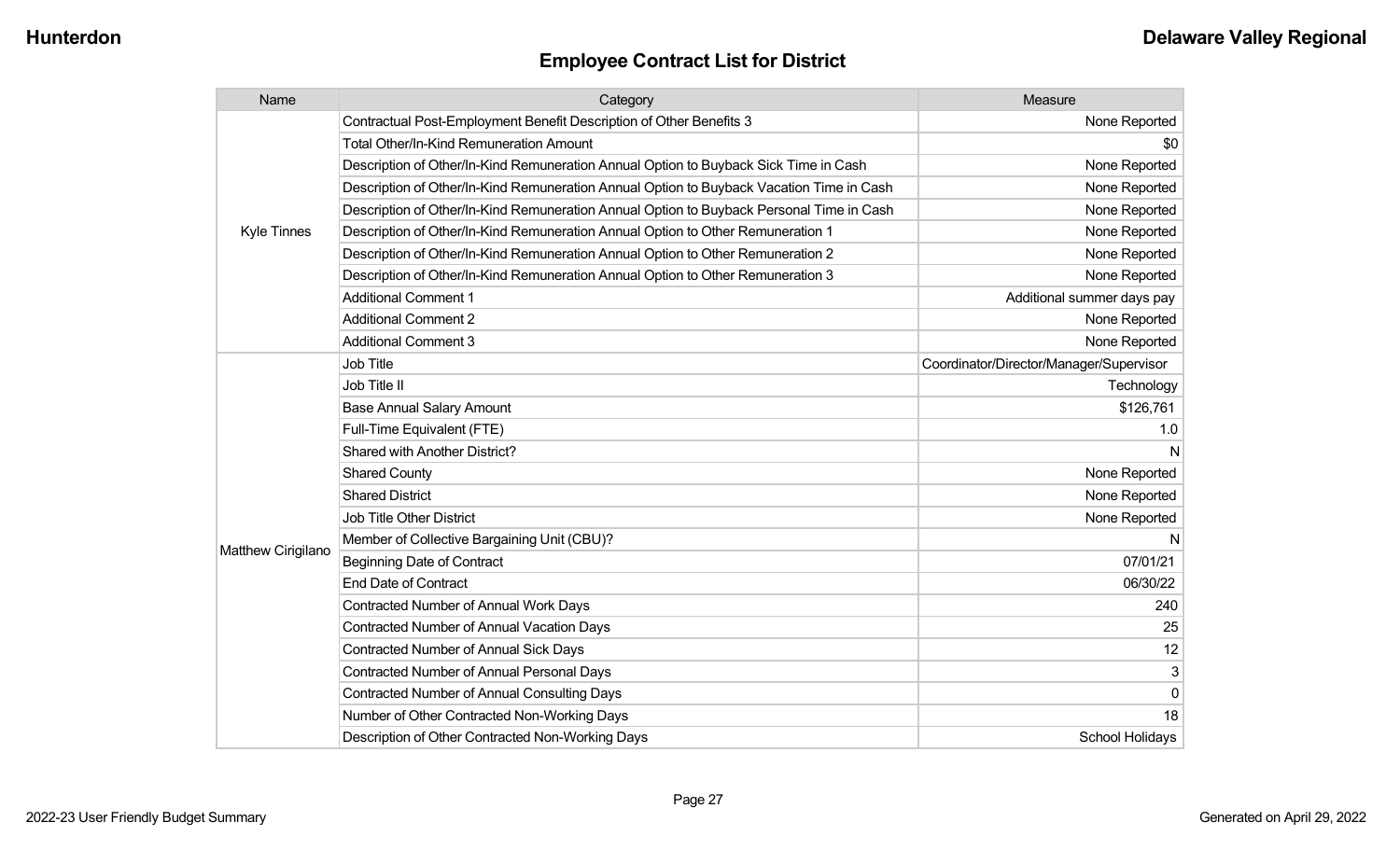| Name               | Category                                                                                 | Measure                                 |
|--------------------|------------------------------------------------------------------------------------------|-----------------------------------------|
|                    | Contractual Post-Employment Benefit Description of Other Benefits 3                      | None Reported                           |
|                    | Total Other/In-Kind Remuneration Amount                                                  | \$0                                     |
|                    | Description of Other/In-Kind Remuneration Annual Option to Buyback Sick Time in Cash     | None Reported                           |
|                    | Description of Other/In-Kind Remuneration Annual Option to Buyback Vacation Time in Cash | None Reported                           |
|                    | Description of Other/In-Kind Remuneration Annual Option to Buyback Personal Time in Cash | None Reported                           |
| <b>Kyle Tinnes</b> | Description of Other/In-Kind Remuneration Annual Option to Other Remuneration 1          | None Reported                           |
|                    | Description of Other/In-Kind Remuneration Annual Option to Other Remuneration 2          | None Reported                           |
|                    | Description of Other/In-Kind Remuneration Annual Option to Other Remuneration 3          | None Reported                           |
|                    | <b>Additional Comment 1</b>                                                              | Additional summer days pay              |
|                    | <b>Additional Comment 2</b>                                                              | None Reported                           |
|                    | <b>Additional Comment 3</b>                                                              | None Reported                           |
|                    | <b>Job Title</b>                                                                         | Coordinator/Director/Manager/Supervisor |
|                    | Job Title II                                                                             | Technology                              |
|                    | <b>Base Annual Salary Amount</b>                                                         | \$126,761                               |
|                    | Full-Time Equivalent (FTE)                                                               | 1.0                                     |
|                    | Shared with Another District?                                                            | N                                       |
|                    | <b>Shared County</b>                                                                     | None Reported                           |
|                    | <b>Shared District</b>                                                                   | None Reported                           |
|                    | Job Title Other District                                                                 | None Reported                           |
|                    | Member of Collective Bargaining Unit (CBU)?                                              | N                                       |
| Matthew Cirigilano | <b>Beginning Date of Contract</b>                                                        | 07/01/21                                |
|                    | <b>End Date of Contract</b>                                                              | 06/30/22                                |
|                    | <b>Contracted Number of Annual Work Days</b>                                             | 240                                     |
|                    | <b>Contracted Number of Annual Vacation Days</b>                                         | 25                                      |
|                    | <b>Contracted Number of Annual Sick Days</b>                                             | 12                                      |
|                    | <b>Contracted Number of Annual Personal Days</b>                                         | 3                                       |
|                    | <b>Contracted Number of Annual Consulting Days</b>                                       | $\overline{0}$                          |
|                    | Number of Other Contracted Non-Working Days                                              | 18                                      |
|                    | Description of Other Contracted Non-Working Days                                         | School Holidays                         |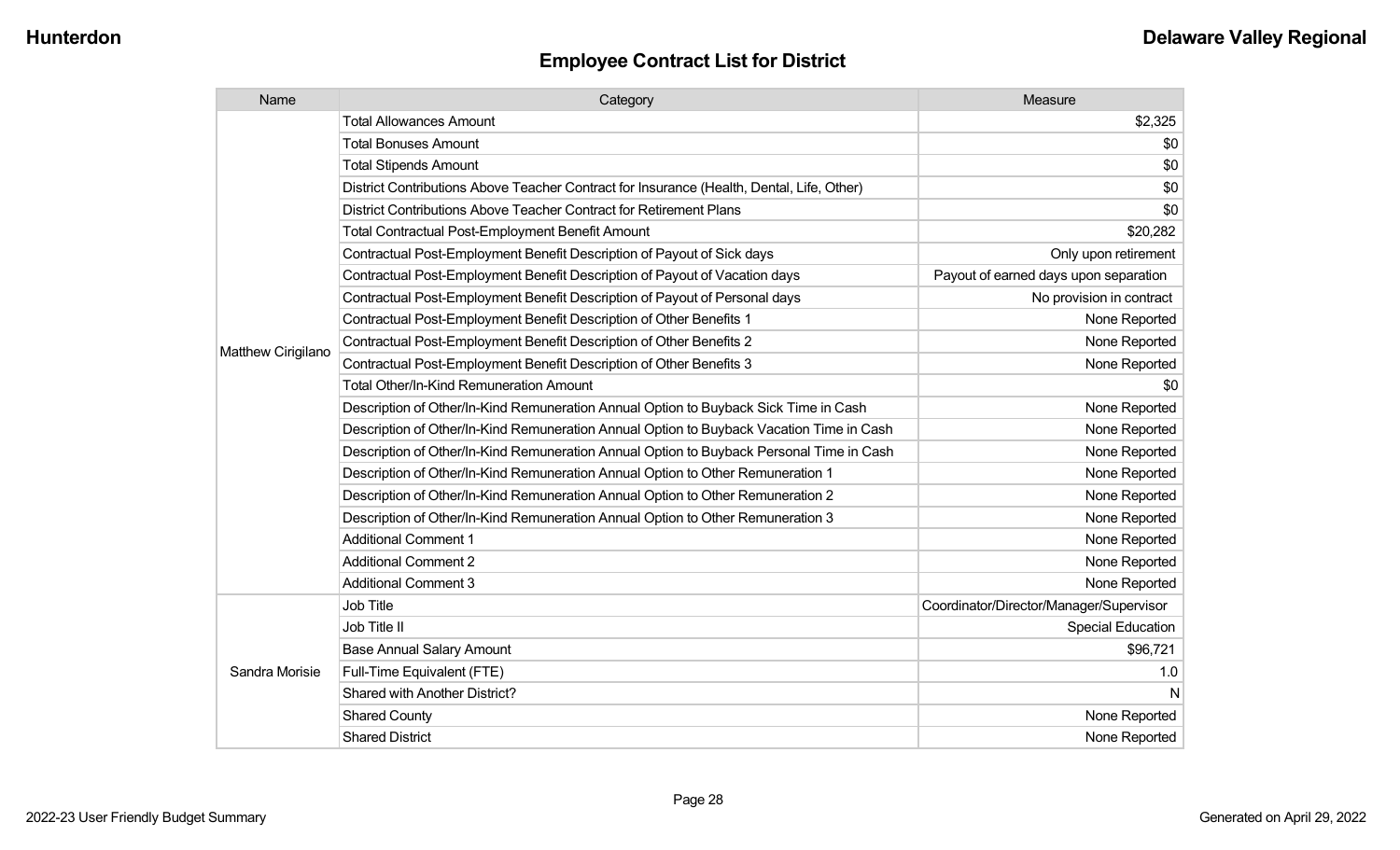| Name               | Category                                                                                  | Measure                                 |
|--------------------|-------------------------------------------------------------------------------------------|-----------------------------------------|
|                    | <b>Total Allowances Amount</b>                                                            | \$2,325                                 |
|                    | <b>Total Bonuses Amount</b>                                                               | \$0                                     |
|                    | <b>Total Stipends Amount</b>                                                              | \$0                                     |
|                    | District Contributions Above Teacher Contract for Insurance (Health, Dental, Life, Other) | \$0                                     |
|                    | District Contributions Above Teacher Contract for Retirement Plans                        | \$0                                     |
|                    | <b>Total Contractual Post-Employment Benefit Amount</b>                                   | \$20,282                                |
|                    | Contractual Post-Employment Benefit Description of Payout of Sick days                    | Only upon retirement                    |
|                    | Contractual Post-Employment Benefit Description of Payout of Vacation days                | Payout of earned days upon separation   |
|                    | Contractual Post-Employment Benefit Description of Payout of Personal days                | No provision in contract                |
|                    | Contractual Post-Employment Benefit Description of Other Benefits 1                       | None Reported                           |
|                    | Contractual Post-Employment Benefit Description of Other Benefits 2                       | None Reported                           |
| Matthew Cirigilano | Contractual Post-Employment Benefit Description of Other Benefits 3                       | None Reported                           |
|                    | <b>Total Other/In-Kind Remuneration Amount</b>                                            | \$0                                     |
|                    | Description of Other/In-Kind Remuneration Annual Option to Buyback Sick Time in Cash      | None Reported                           |
|                    | Description of Other/In-Kind Remuneration Annual Option to Buyback Vacation Time in Cash  | None Reported                           |
|                    | Description of Other/In-Kind Remuneration Annual Option to Buyback Personal Time in Cash  | None Reported                           |
|                    | Description of Other/In-Kind Remuneration Annual Option to Other Remuneration 1           | None Reported                           |
|                    | Description of Other/In-Kind Remuneration Annual Option to Other Remuneration 2           | None Reported                           |
|                    | Description of Other/In-Kind Remuneration Annual Option to Other Remuneration 3           | None Reported                           |
|                    | <b>Additional Comment 1</b>                                                               | None Reported                           |
|                    | <b>Additional Comment 2</b>                                                               | None Reported                           |
|                    | <b>Additional Comment 3</b>                                                               | None Reported                           |
|                    | Job Title                                                                                 | Coordinator/Director/Manager/Supervisor |
|                    | Job Title II                                                                              | <b>Special Education</b>                |
|                    | <b>Base Annual Salary Amount</b>                                                          | \$96,721                                |
| Sandra Morisie     | Full-Time Equivalent (FTE)                                                                | 1.0                                     |
|                    | Shared with Another District?                                                             | N                                       |
|                    | <b>Shared County</b>                                                                      | None Reported                           |
|                    | <b>Shared District</b>                                                                    | None Reported                           |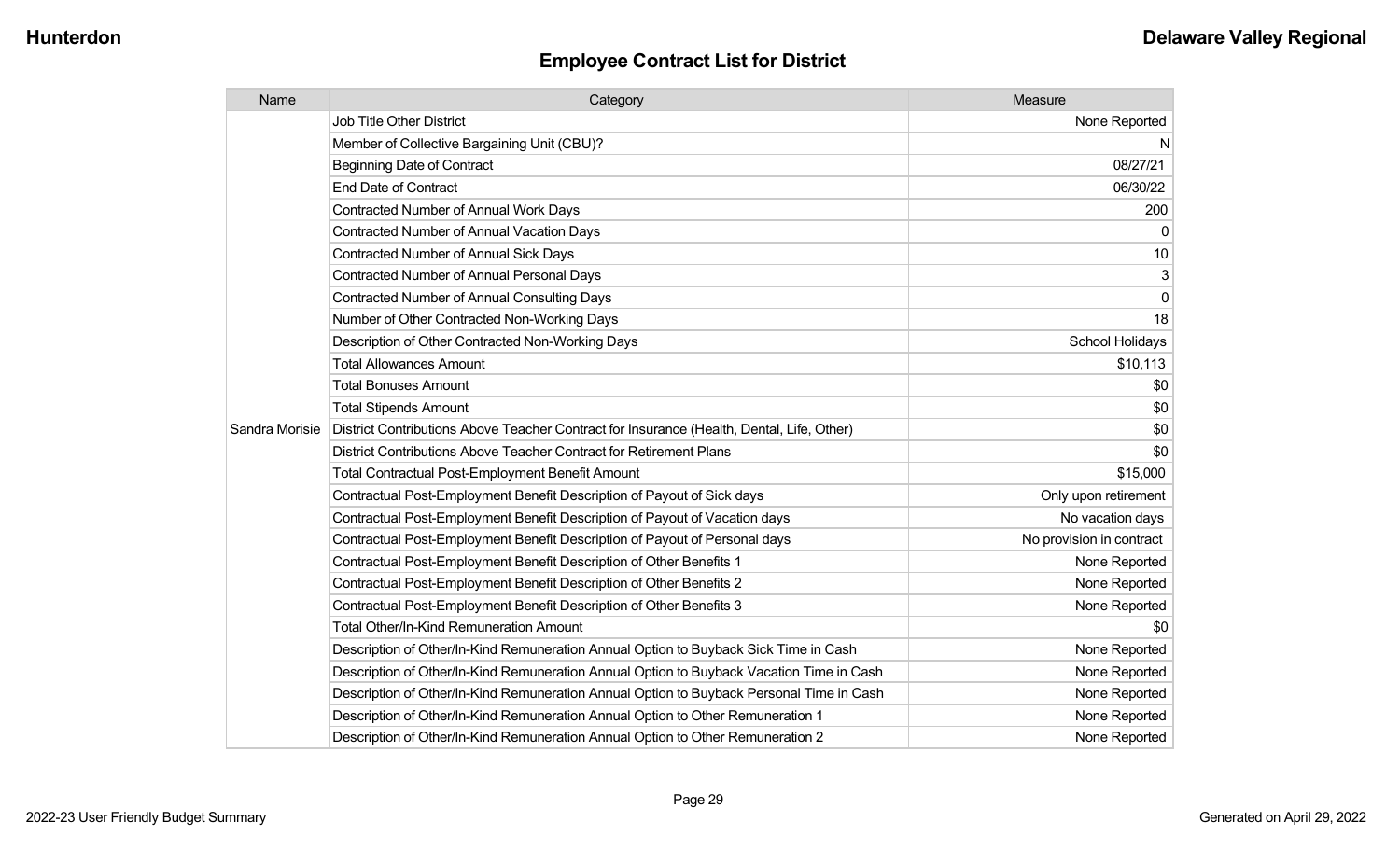| Name           | Category                                                                                  | Measure                  |
|----------------|-------------------------------------------------------------------------------------------|--------------------------|
|                | Job Title Other District                                                                  | None Reported            |
|                | Member of Collective Bargaining Unit (CBU)?                                               | N.                       |
|                | <b>Beginning Date of Contract</b>                                                         | 08/27/21                 |
|                | <b>End Date of Contract</b>                                                               | 06/30/22                 |
|                | <b>Contracted Number of Annual Work Days</b>                                              | 200                      |
|                | <b>Contracted Number of Annual Vacation Days</b>                                          | 0                        |
|                | Contracted Number of Annual Sick Days                                                     | 10                       |
|                | <b>Contracted Number of Annual Personal Days</b>                                          | 3                        |
|                | Contracted Number of Annual Consulting Days                                               | $\overline{0}$           |
|                | Number of Other Contracted Non-Working Days                                               | 18                       |
|                | Description of Other Contracted Non-Working Days                                          | School Holidays          |
|                | <b>Total Allowances Amount</b>                                                            | \$10,113                 |
|                | <b>Total Bonuses Amount</b>                                                               | \$0                      |
|                | <b>Total Stipends Amount</b>                                                              | \$0                      |
| Sandra Morisie | District Contributions Above Teacher Contract for Insurance (Health, Dental, Life, Other) | \$0                      |
|                | District Contributions Above Teacher Contract for Retirement Plans                        | \$0                      |
|                | Total Contractual Post-Employment Benefit Amount                                          | \$15,000                 |
|                | Contractual Post-Employment Benefit Description of Payout of Sick days                    | Only upon retirement     |
|                | Contractual Post-Employment Benefit Description of Payout of Vacation days                | No vacation days         |
|                | Contractual Post-Employment Benefit Description of Payout of Personal days                | No provision in contract |
|                | Contractual Post-Employment Benefit Description of Other Benefits 1                       | None Reported            |
|                | Contractual Post-Employment Benefit Description of Other Benefits 2                       | None Reported            |
|                | Contractual Post-Employment Benefit Description of Other Benefits 3                       | None Reported            |
|                | <b>Total Other/In-Kind Remuneration Amount</b>                                            | \$0                      |
|                | Description of Other/In-Kind Remuneration Annual Option to Buyback Sick Time in Cash      | None Reported            |
|                | Description of Other/In-Kind Remuneration Annual Option to Buyback Vacation Time in Cash  | None Reported            |
|                | Description of Other/In-Kind Remuneration Annual Option to Buyback Personal Time in Cash  | None Reported            |
|                | Description of Other/In-Kind Remuneration Annual Option to Other Remuneration 1           | None Reported            |
|                | Description of Other/In-Kind Remuneration Annual Option to Other Remuneration 2           | None Reported            |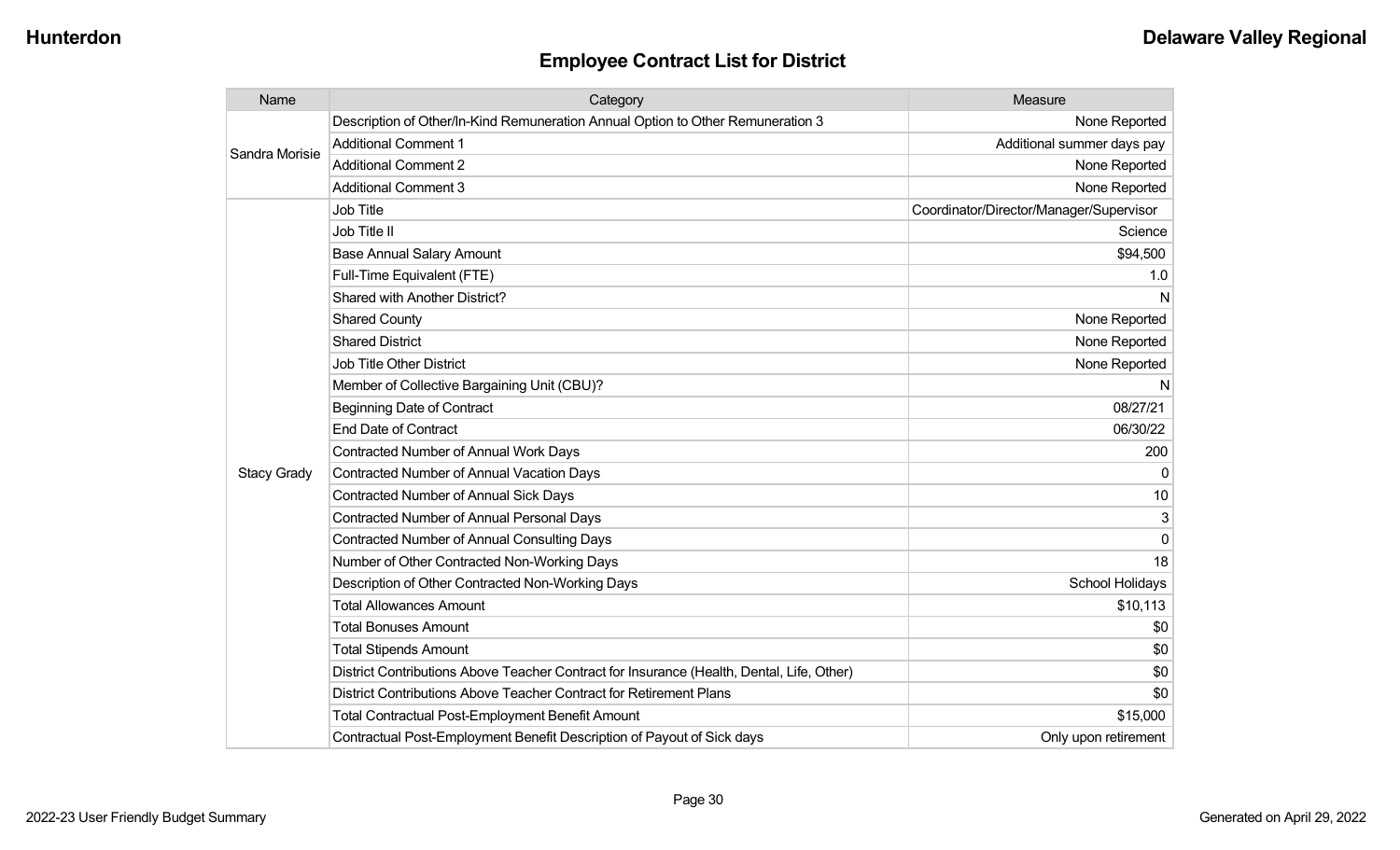| Name               | Category                                                                                  | Measure                                 |
|--------------------|-------------------------------------------------------------------------------------------|-----------------------------------------|
| Sandra Morisie     | Description of Other/In-Kind Remuneration Annual Option to Other Remuneration 3           | None Reported                           |
|                    | <b>Additional Comment 1</b>                                                               | Additional summer days pay              |
|                    | <b>Additional Comment 2</b>                                                               | None Reported                           |
|                    | <b>Additional Comment 3</b>                                                               | None Reported                           |
|                    | <b>Job Title</b>                                                                          | Coordinator/Director/Manager/Supervisor |
|                    | Job Title II                                                                              | Science                                 |
|                    | <b>Base Annual Salary Amount</b>                                                          | \$94,500                                |
|                    | Full-Time Equivalent (FTE)                                                                | 1.0                                     |
|                    | Shared with Another District?                                                             | N                                       |
|                    | <b>Shared County</b>                                                                      | None Reported                           |
|                    | <b>Shared District</b>                                                                    | None Reported                           |
|                    | Job Title Other District                                                                  | None Reported                           |
|                    | Member of Collective Bargaining Unit (CBU)?                                               | N                                       |
|                    | <b>Beginning Date of Contract</b>                                                         | 08/27/21                                |
|                    | <b>End Date of Contract</b>                                                               | 06/30/22                                |
|                    | Contracted Number of Annual Work Days                                                     | 200                                     |
| <b>Stacy Grady</b> | <b>Contracted Number of Annual Vacation Days</b>                                          | $\Omega$                                |
|                    | <b>Contracted Number of Annual Sick Days</b>                                              | 10                                      |
|                    | <b>Contracted Number of Annual Personal Days</b>                                          | 3                                       |
|                    | <b>Contracted Number of Annual Consulting Days</b>                                        | $\Omega$                                |
|                    | Number of Other Contracted Non-Working Days                                               | 18                                      |
|                    | Description of Other Contracted Non-Working Days                                          | School Holidays                         |
|                    | <b>Total Allowances Amount</b>                                                            | \$10,113                                |
|                    | <b>Total Bonuses Amount</b>                                                               | \$0                                     |
|                    | <b>Total Stipends Amount</b>                                                              | \$0                                     |
|                    | District Contributions Above Teacher Contract for Insurance (Health, Dental, Life, Other) | \$0                                     |
|                    | District Contributions Above Teacher Contract for Retirement Plans                        | \$0                                     |
|                    | <b>Total Contractual Post-Employment Benefit Amount</b>                                   | \$15,000                                |
|                    | Contractual Post-Employment Benefit Description of Payout of Sick days                    | Only upon retirement                    |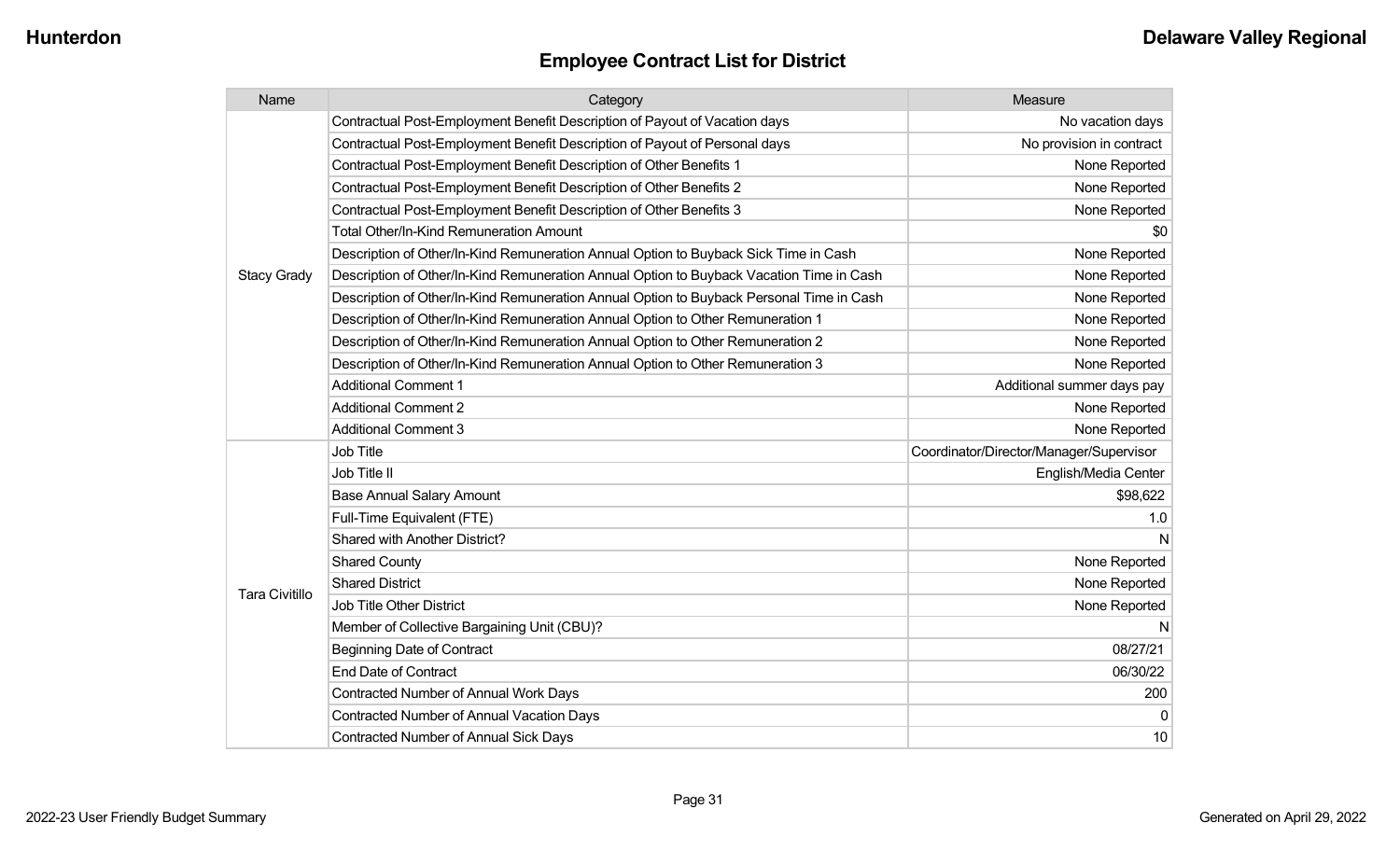| Name                  | Category                                                                                 | Measure                                 |
|-----------------------|------------------------------------------------------------------------------------------|-----------------------------------------|
|                       | Contractual Post-Employment Benefit Description of Payout of Vacation days               | No vacation days                        |
|                       | Contractual Post-Employment Benefit Description of Payout of Personal days               | No provision in contract                |
|                       | Contractual Post-Employment Benefit Description of Other Benefits 1                      | None Reported                           |
|                       | Contractual Post-Employment Benefit Description of Other Benefits 2                      | None Reported                           |
|                       | Contractual Post-Employment Benefit Description of Other Benefits 3                      | None Reported                           |
|                       | <b>Total Other/In-Kind Remuneration Amount</b>                                           | \$0                                     |
|                       | Description of Other/In-Kind Remuneration Annual Option to Buyback Sick Time in Cash     | None Reported                           |
| <b>Stacy Grady</b>    | Description of Other/In-Kind Remuneration Annual Option to Buyback Vacation Time in Cash | None Reported                           |
|                       | Description of Other/In-Kind Remuneration Annual Option to Buyback Personal Time in Cash | None Reported                           |
|                       | Description of Other/In-Kind Remuneration Annual Option to Other Remuneration 1          | None Reported                           |
|                       | Description of Other/In-Kind Remuneration Annual Option to Other Remuneration 2          | None Reported                           |
|                       | Description of Other/In-Kind Remuneration Annual Option to Other Remuneration 3          | None Reported                           |
|                       | <b>Additional Comment 1</b>                                                              | Additional summer days pay              |
|                       | <b>Additional Comment 2</b>                                                              | None Reported                           |
|                       | <b>Additional Comment 3</b>                                                              | None Reported                           |
|                       | Job Title                                                                                | Coordinator/Director/Manager/Supervisor |
|                       | Job Title II                                                                             | English/Media Center                    |
|                       | <b>Base Annual Salary Amount</b>                                                         | \$98,622                                |
|                       | Full-Time Equivalent (FTE)                                                               | 1.0                                     |
|                       | Shared with Another District?                                                            | N                                       |
|                       | <b>Shared County</b>                                                                     | None Reported                           |
| <b>Tara Civitillo</b> | <b>Shared District</b>                                                                   | None Reported                           |
|                       | <b>Job Title Other District</b>                                                          | None Reported                           |
|                       | Member of Collective Bargaining Unit (CBU)?                                              | N                                       |
|                       | <b>Beginning Date of Contract</b>                                                        | 08/27/21                                |
|                       | <b>End Date of Contract</b>                                                              | 06/30/22                                |
|                       | <b>Contracted Number of Annual Work Days</b>                                             | 200                                     |
|                       | Contracted Number of Annual Vacation Days                                                | 0                                       |
|                       | <b>Contracted Number of Annual Sick Days</b>                                             | 10                                      |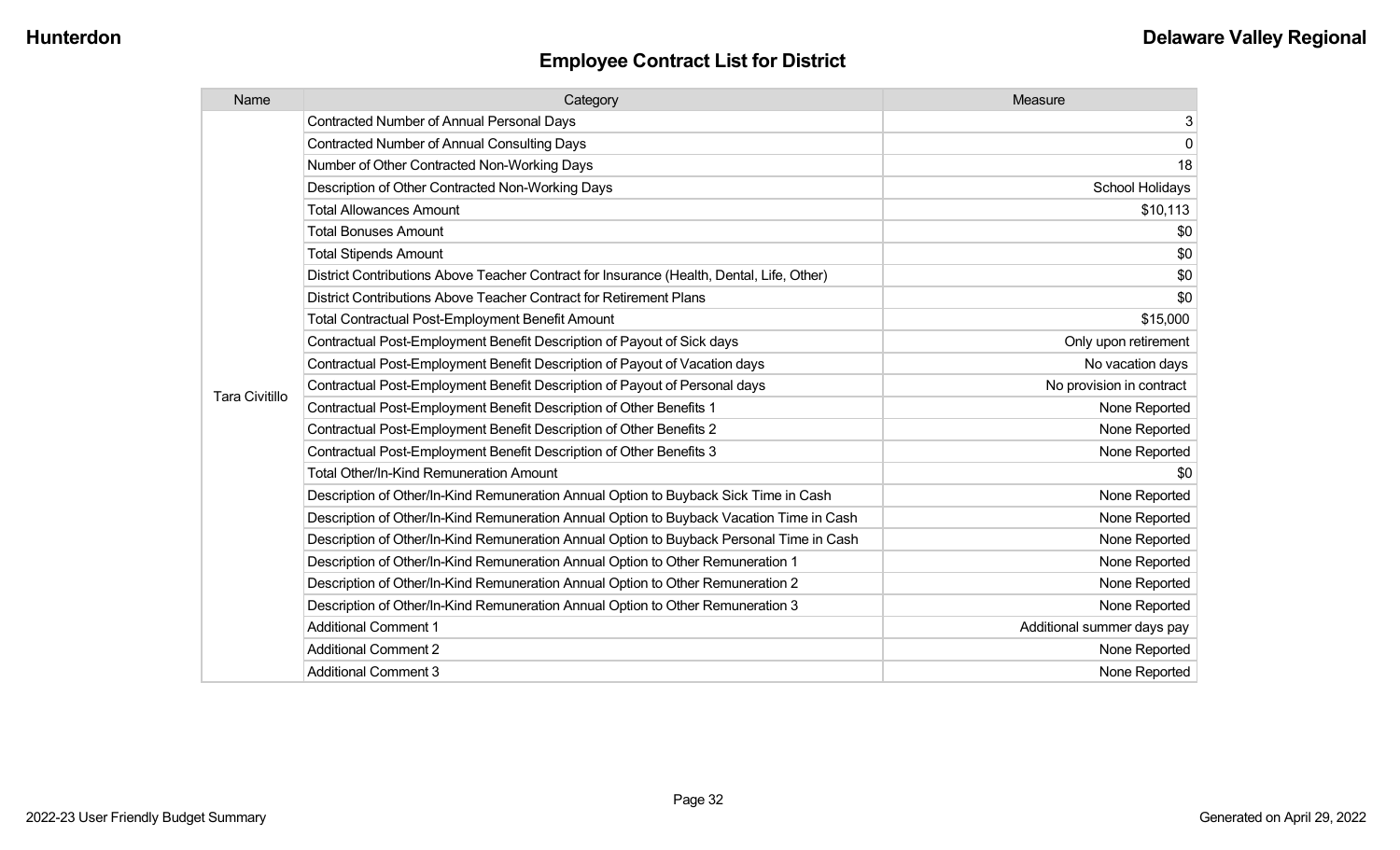| Name                  | Category                                                                                  | Measure                    |
|-----------------------|-------------------------------------------------------------------------------------------|----------------------------|
|                       | <b>Contracted Number of Annual Personal Days</b>                                          | 3                          |
|                       | <b>Contracted Number of Annual Consulting Days</b>                                        | $\mathbf 0$                |
|                       | Number of Other Contracted Non-Working Days                                               | 18                         |
|                       | Description of Other Contracted Non-Working Days                                          | <b>School Holidays</b>     |
|                       | <b>Total Allowances Amount</b>                                                            | \$10,113                   |
|                       | <b>Total Bonuses Amount</b>                                                               | \$0                        |
|                       | <b>Total Stipends Amount</b>                                                              | \$0                        |
|                       | District Contributions Above Teacher Contract for Insurance (Health, Dental, Life, Other) | \$0                        |
|                       | District Contributions Above Teacher Contract for Retirement Plans                        | \$0                        |
|                       | <b>Total Contractual Post-Employment Benefit Amount</b>                                   | \$15,000                   |
|                       | Contractual Post-Employment Benefit Description of Payout of Sick days                    | Only upon retirement       |
|                       | Contractual Post-Employment Benefit Description of Payout of Vacation days                | No vacation days           |
| <b>Tara Civitillo</b> | Contractual Post-Employment Benefit Description of Payout of Personal days                | No provision in contract   |
|                       | Contractual Post-Employment Benefit Description of Other Benefits 1                       | None Reported              |
|                       | Contractual Post-Employment Benefit Description of Other Benefits 2                       | None Reported              |
|                       | Contractual Post-Employment Benefit Description of Other Benefits 3                       | None Reported              |
|                       | <b>Total Other/In-Kind Remuneration Amount</b>                                            | \$0                        |
|                       | Description of Other/In-Kind Remuneration Annual Option to Buyback Sick Time in Cash      | None Reported              |
|                       | Description of Other/In-Kind Remuneration Annual Option to Buyback Vacation Time in Cash  | None Reported              |
|                       | Description of Other/In-Kind Remuneration Annual Option to Buyback Personal Time in Cash  | None Reported              |
|                       | Description of Other/In-Kind Remuneration Annual Option to Other Remuneration 1           | None Reported              |
|                       | Description of Other/In-Kind Remuneration Annual Option to Other Remuneration 2           | None Reported              |
|                       | Description of Other/In-Kind Remuneration Annual Option to Other Remuneration 3           | None Reported              |
|                       | <b>Additional Comment 1</b>                                                               | Additional summer days pay |
|                       | <b>Additional Comment 2</b>                                                               | None Reported              |
|                       | <b>Additional Comment 3</b>                                                               | None Reported              |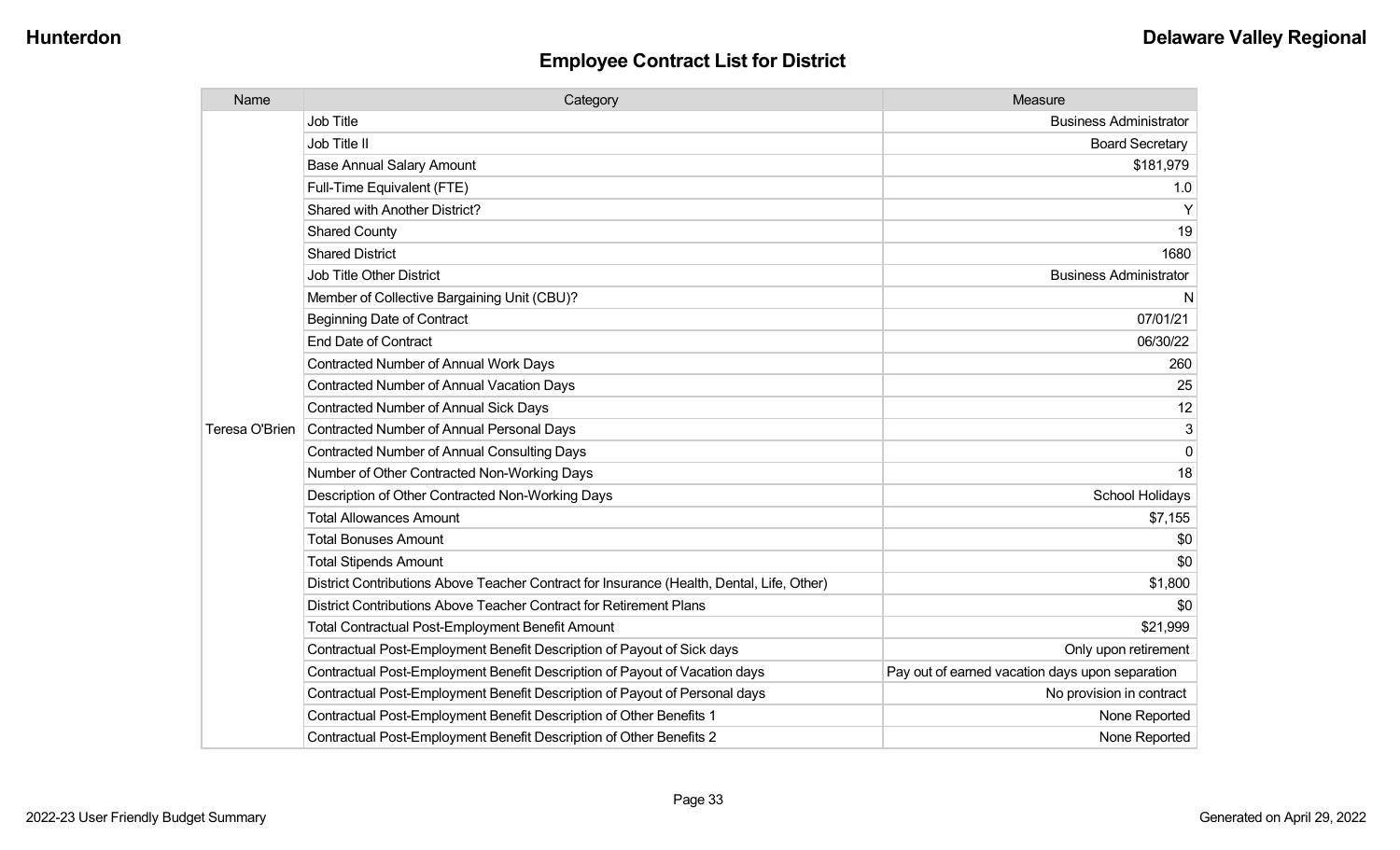| Name           | Category                                                                                  | Measure                                         |
|----------------|-------------------------------------------------------------------------------------------|-------------------------------------------------|
|                | Job Title                                                                                 | <b>Business Administrator</b>                   |
|                | Job Title II                                                                              | <b>Board Secretary</b>                          |
|                | <b>Base Annual Salary Amount</b>                                                          | \$181,979                                       |
|                | Full-Time Equivalent (FTE)                                                                | 1.0                                             |
|                | Shared with Another District?                                                             | Y                                               |
|                | <b>Shared County</b>                                                                      | 19                                              |
|                | <b>Shared District</b>                                                                    | 1680                                            |
|                | <b>Job Title Other District</b>                                                           | <b>Business Administrator</b>                   |
|                | Member of Collective Bargaining Unit (CBU)?                                               | N                                               |
|                | <b>Beginning Date of Contract</b>                                                         | 07/01/21                                        |
|                | <b>End Date of Contract</b>                                                               | 06/30/22                                        |
|                | <b>Contracted Number of Annual Work Days</b>                                              | 260                                             |
|                | Contracted Number of Annual Vacation Days                                                 | 25                                              |
|                | <b>Contracted Number of Annual Sick Days</b>                                              | 12                                              |
| Teresa O'Brien | Contracted Number of Annual Personal Days                                                 | 3                                               |
|                | <b>Contracted Number of Annual Consulting Days</b>                                        | 0                                               |
|                | Number of Other Contracted Non-Working Days                                               | 18                                              |
|                | Description of Other Contracted Non-Working Days                                          | School Holidays                                 |
|                | <b>Total Allowances Amount</b>                                                            | \$7,155                                         |
|                | <b>Total Bonuses Amount</b>                                                               | \$0                                             |
|                | <b>Total Stipends Amount</b>                                                              | \$0                                             |
|                | District Contributions Above Teacher Contract for Insurance (Health, Dental, Life, Other) | \$1,800                                         |
|                | District Contributions Above Teacher Contract for Retirement Plans                        | \$0                                             |
|                | <b>Total Contractual Post-Employment Benefit Amount</b>                                   | \$21,999                                        |
|                | Contractual Post-Employment Benefit Description of Payout of Sick days                    | Only upon retirement                            |
|                | Contractual Post-Employment Benefit Description of Payout of Vacation days                | Pay out of earned vacation days upon separation |
|                | Contractual Post-Employment Benefit Description of Payout of Personal days                | No provision in contract                        |
|                | Contractual Post-Employment Benefit Description of Other Benefits 1                       | None Reported                                   |
|                | Contractual Post-Employment Benefit Description of Other Benefits 2                       | None Reported                                   |